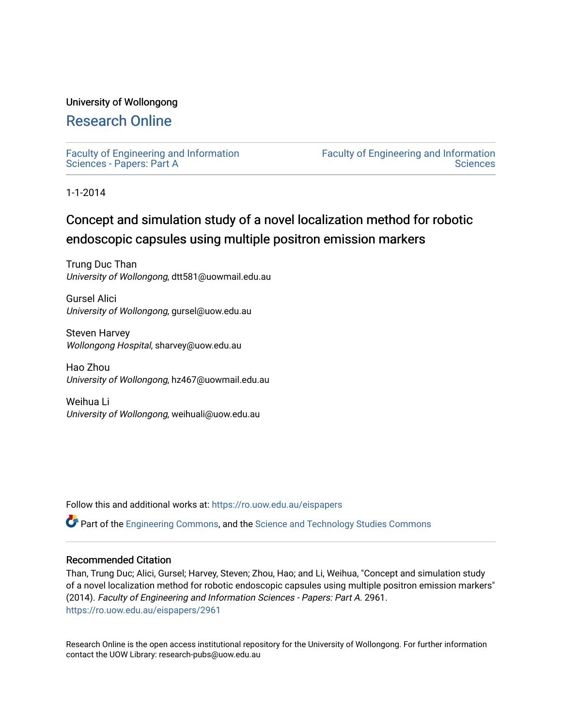# University of Wollongong

# [Research Online](https://ro.uow.edu.au/)

[Faculty of Engineering and Information](https://ro.uow.edu.au/eispapers)  [Sciences - Papers: Part A](https://ro.uow.edu.au/eispapers) 

[Faculty of Engineering and Information](https://ro.uow.edu.au/eis)  **Sciences** 

1-1-2014

# Concept and simulation study of a novel localization method for robotic endoscopic capsules using multiple positron emission markers

Trung Duc Than University of Wollongong, dtt581@uowmail.edu.au

Gursel Alici University of Wollongong, gursel@uow.edu.au

Steven Harvey Wollongong Hospital, sharvey@uow.edu.au

Hao Zhou University of Wollongong, hz467@uowmail.edu.au

Weihua Li University of Wollongong, weihuali@uow.edu.au

Follow this and additional works at: [https://ro.uow.edu.au/eispapers](https://ro.uow.edu.au/eispapers?utm_source=ro.uow.edu.au%2Feispapers%2F2961&utm_medium=PDF&utm_campaign=PDFCoverPages)

Part of the [Engineering Commons](http://network.bepress.com/hgg/discipline/217?utm_source=ro.uow.edu.au%2Feispapers%2F2961&utm_medium=PDF&utm_campaign=PDFCoverPages), and the [Science and Technology Studies Commons](http://network.bepress.com/hgg/discipline/435?utm_source=ro.uow.edu.au%2Feispapers%2F2961&utm_medium=PDF&utm_campaign=PDFCoverPages)

# Recommended Citation

Than, Trung Duc; Alici, Gursel; Harvey, Steven; Zhou, Hao; and Li, Weihua, "Concept and simulation study of a novel localization method for robotic endoscopic capsules using multiple positron emission markers" (2014). Faculty of Engineering and Information Sciences - Papers: Part A. 2961. [https://ro.uow.edu.au/eispapers/2961](https://ro.uow.edu.au/eispapers/2961?utm_source=ro.uow.edu.au%2Feispapers%2F2961&utm_medium=PDF&utm_campaign=PDFCoverPages) 

Research Online is the open access institutional repository for the University of Wollongong. For further information contact the UOW Library: research-pubs@uow.edu.au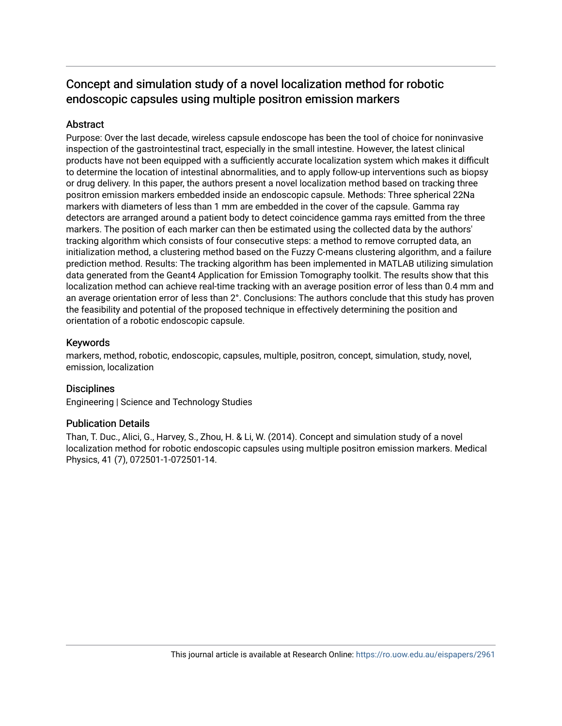# Concept and simulation study of a novel localization method for robotic endoscopic capsules using multiple positron emission markers

# **Abstract**

Purpose: Over the last decade, wireless capsule endoscope has been the tool of choice for noninvasive inspection of the gastrointestinal tract, especially in the small intestine. However, the latest clinical products have not been equipped with a sufficiently accurate localization system which makes it difficult to determine the location of intestinal abnormalities, and to apply follow-up interventions such as biopsy or drug delivery. In this paper, the authors present a novel localization method based on tracking three positron emission markers embedded inside an endoscopic capsule. Methods: Three spherical 22Na markers with diameters of less than 1 mm are embedded in the cover of the capsule. Gamma ray detectors are arranged around a patient body to detect coincidence gamma rays emitted from the three markers. The position of each marker can then be estimated using the collected data by the authors' tracking algorithm which consists of four consecutive steps: a method to remove corrupted data, an initialization method, a clustering method based on the Fuzzy C-means clustering algorithm, and a failure prediction method. Results: The tracking algorithm has been implemented in MATLAB utilizing simulation data generated from the Geant4 Application for Emission Tomography toolkit. The results show that this localization method can achieve real-time tracking with an average position error of less than 0.4 mm and an average orientation error of less than 2°. Conclusions: The authors conclude that this study has proven the feasibility and potential of the proposed technique in effectively determining the position and orientation of a robotic endoscopic capsule.

# Keywords

markers, method, robotic, endoscopic, capsules, multiple, positron, concept, simulation, study, novel, emission, localization

# **Disciplines**

Engineering | Science and Technology Studies

# Publication Details

Than, T. Duc., Alici, G., Harvey, S., Zhou, H. & Li, W. (2014). Concept and simulation study of a novel localization method for robotic endoscopic capsules using multiple positron emission markers. Medical Physics, 41 (7), 072501-1-072501-14.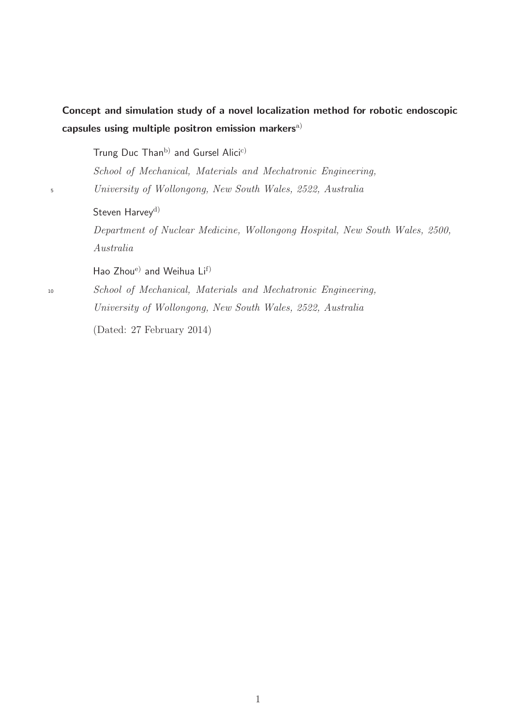# Concept and simulation study of a novel localization method for robotic endoscopic capsules using multiple positron emission markers<sup>[a\)](#page-32-0)</sup>

Trung Duc Than<sup>[b\)](#page-32-1)</sup> and Gursel Alici<sup>[c\)](#page-32-2)</sup>

*School of Mechanical, Materials and Mechatronic Engineering,* <sup>5</sup> *University of Wollongong, New South Wales, 2522, Australia*

Steven Harvey<sup>[d\)](#page-32-3)</sup>

*Department of Nuclear Medicine, Wollongong Hospital, New South Wales, 2500, Australia*

Hao Zhou[e\)](#page-32-4) and Weihua Li[f\)](#page-32-5)

<sup>10</sup> *School of Mechanical, Materials and Mechatronic Engineering, University of Wollongong, New South Wales, 2522, Australia*

(Dated: 27 February 2014)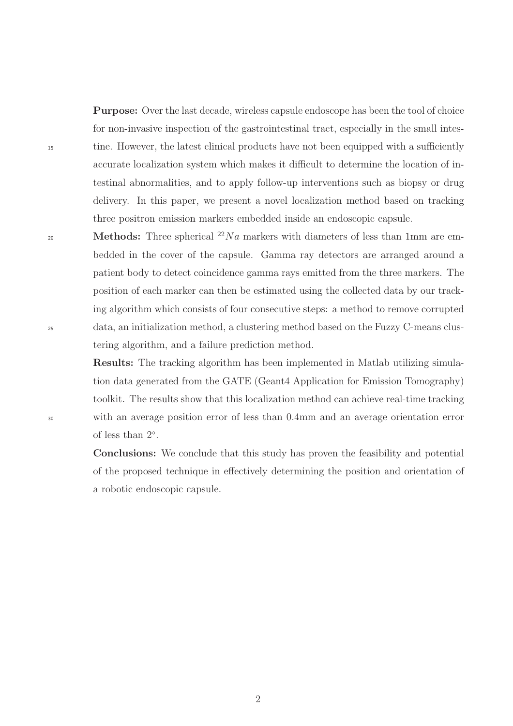Purpose: Over the last decade, wireless capsule endoscope has been the tool of choice for non-invasive inspection of the gastrointestinal tract, especially in the small intes-<sup>15</sup> tine. However, the latest clinical products have not been equipped with a sufficiently accurate localization system which makes it difficult to determine the location of intestinal abnormalities, and to apply follow-up interventions such as biopsy or drug delivery. In this paper, we present a novel localization method based on tracking three positron emission markers embedded inside an endoscopic capsule.

20 **Methods:** Three spherical  $^{22}Na$  markers with diameters of less than 1mm are embedded in the cover of the capsule. Gamma ray detectors are arranged around a patient body to detect coincidence gamma rays emitted from the three markers. The position of each marker can then be estimated using the collected data by our tracking algorithm which consists of four consecutive steps: a method to remove corrupted <sup>25</sup> data, an initialization method, a clustering method based on the Fuzzy C-means clustering algorithm, and a failure prediction method.

Results: The tracking algorithm has been implemented in Matlab utilizing simulation data generated from the GATE (Geant4 Application for Emission Tomography) toolkit. The results show that this localization method can achieve real-time tracking <sup>30</sup> with an average position error of less than 0.4mm and an average orientation error of less than  $2^\circ$ .

> Conclusions: We conclude that this study has proven the feasibility and potential of the proposed technique in effectively determining the position and orientation of a robotic endoscopic capsule.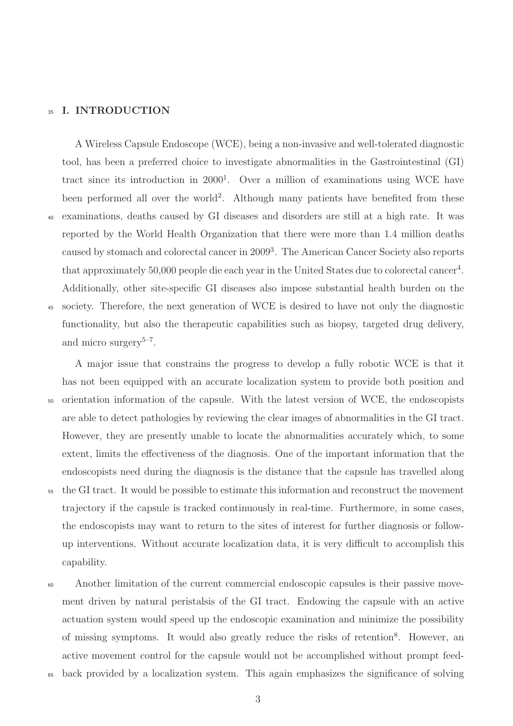## <sup>35</sup> I. INTRODUCTION

A Wireless Capsule Endoscope (WCE), being a non-invasive and well-tolerated diagnostic tool, has been a preferred choice to investigate abnormalities in the Gastrointestinal (GI) tract since its introduction in 2000<sup>[1](#page-32-6)</sup>. Over a million of examinations using WCE have been performed all over the world<sup>[2](#page-32-7)</sup>. Although many patients have benefited from these <sup>40</sup> examinations, deaths caused by GI diseases and disorders are still at a high rate. It was reported by the World Health Organization that there were more than 1.4 million deaths caused by stomach and colorectal cancer in 2009[3](#page-32-8) . The American Cancer Society also reports that approximately 50,000 people die each year in the United States due to colorectal cancer<sup>[4](#page-32-9)</sup>. Additionally, other site-specific GI diseases also impose substantial health burden on the <sup>45</sup> society. Therefore, the next generation of WCE is desired to have not only the diagnostic functionality, but also the therapeutic capabilities such as biopsy, targeted drug delivery, and micro surgery<sup> $5-7$  $5-7$ </sup>.

A major issue that constrains the progress to develop a fully robotic WCE is that it has not been equipped with an accurate localization system to provide both position and <sup>50</sup> orientation information of the capsule. With the latest version of WCE, the endoscopists are able to detect pathologies by reviewing the clear images of abnormalities in the GI tract. However, they are presently unable to locate the abnormalities accurately which, to some extent, limits the effectiveness of the diagnosis. One of the important information that the endoscopists need during the diagnosis is the distance that the capsule has travelled along <sup>55</sup> the GI tract. It would be possible to estimate this information and reconstruct the movement trajectory if the capsule is tracked continuously in real-time. Furthermore, in some cases, the endoscopists may want to return to the sites of interest for further diagnosis or followup interventions. Without accurate localization data, it is very difficult to accomplish this capability.

<sup>60</sup> Another limitation of the current commercial endoscopic capsules is their passive movement driven by natural peristalsis of the GI tract. Endowing the capsule with an active actuation system would speed up the endoscopic examination and minimize the possibility of missing symptoms. It would also greatly reduce the risks of retention<sup>[8](#page-32-12)</sup>. However, an active movement control for the capsule would not be accomplished without prompt feed-

<sup>65</sup> back provided by a localization system. This again emphasizes the significance of solving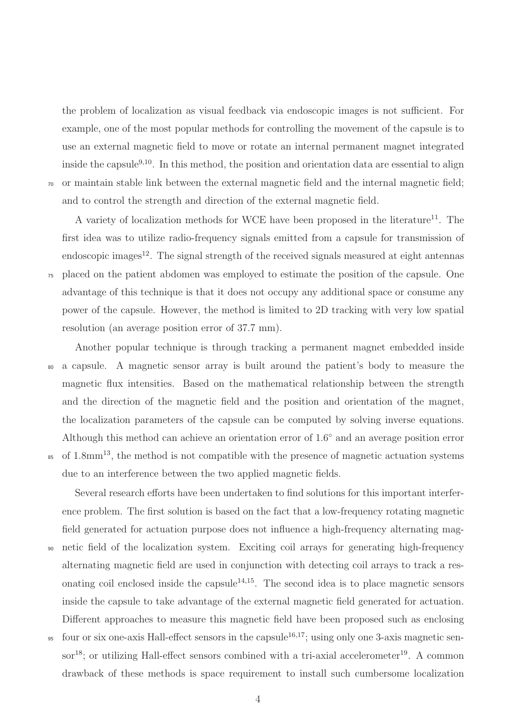the problem of localization as visual feedback via endoscopic images is not sufficient. For example, one of the most popular methods for controlling the movement of the capsule is to use an external magnetic field to move or rotate an internal permanent magnet integrated inside the capsule<sup>[9](#page-33-0)[,10](#page-33-1)</sup>. In this method, the position and orientation data are essential to align <sup>70</sup> or maintain stable link between the external magnetic field and the internal magnetic field; and to control the strength and direction of the external magnetic field.

A variety of localization methods for WCE have been proposed in the literature<sup>[11](#page-33-2)</sup>. The first idea was to utilize radio-frequency signals emitted from a capsule for transmission of endoscopic images<sup>[12](#page-33-3)</sup>. The signal strength of the received signals measured at eight antennas <sup>75</sup> placed on the patient abdomen was employed to estimate the position of the capsule. One advantage of this technique is that it does not occupy any additional space or consume any power of the capsule. However, the method is limited to 2D tracking with very low spatial resolution (an average position error of 37.7 mm).

Another popular technique is through tracking a permanent magnet embedded inside <sup>80</sup> a capsule. A magnetic sensor array is built around the patient's body to measure the magnetic flux intensities. Based on the mathematical relationship between the strength and the direction of the magnetic field and the position and orientation of the magnet, the localization parameters of the capsule can be computed by solving inverse equations. Although this method can achieve an orientation error of 1.6° and an average position error <sup>85</sup> of 1.8mm<sup>[13](#page-33-4)</sup>, the method is not compatible with the presence of magnetic actuation systems due to an interference between the two applied magnetic fields.

Several research efforts have been undertaken to find solutions for this important interference problem. The first solution is based on the fact that a low-frequency rotating magnetic field generated for actuation purpose does not influence a high-frequency alternating mag-<sup>90</sup> netic field of the localization system. Exciting coil arrays for generating high-frequency alternating magnetic field are used in conjunction with detecting coil arrays to track a res-onating coil enclosed inside the capsule<sup>[14](#page-33-5)[,15](#page-33-6)</sup>. The second idea is to place magnetic sensors inside the capsule to take advantage of the external magnetic field generated for actuation. Different approaches to measure this magnetic field have been proposed such as enclosing <sup>95</sup> four or six one-axis Hall-effect sensors in the capsule<sup>[16](#page-33-7)[,17](#page-33-8)</sup>; using only one 3-axis magnetic sen-sor<sup>[18](#page-33-9)</sup>; or utilizing Hall-effect sensors combined with a tri-axial accelerometer<sup>[19](#page-33-10)</sup>. A common

drawback of these methods is space requirement to install such cumbersome localization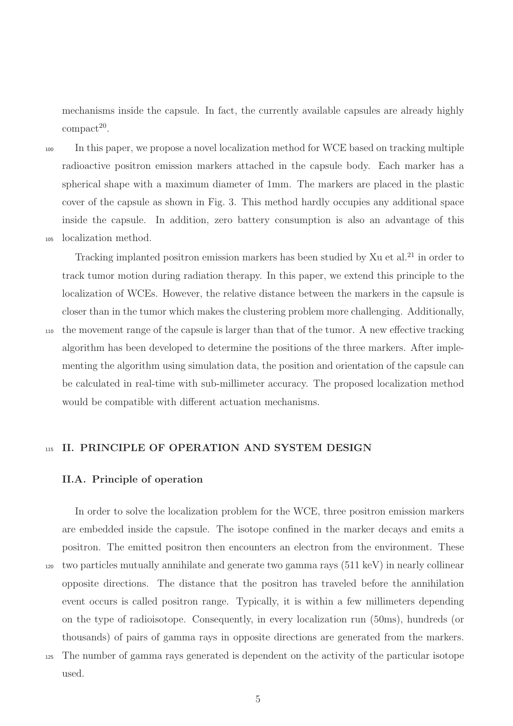mechanisms inside the capsule. In fact, the currently available capsules are already highly  $\text{compact}^{20}$  $\text{compact}^{20}$  $\text{compact}^{20}$ .

<sup>100</sup> In this paper, we propose a novel localization method for WCE based on tracking multiple radioactive positron emission markers attached in the capsule body. Each marker has a spherical shape with a maximum diameter of 1mm. The markers are placed in the plastic cover of the capsule as shown in Fig. [3.](#page-9-0) This method hardly occupies any additional space inside the capsule. In addition, zero battery consumption is also an advantage of this <sup>105</sup> localization method.

Tracking implanted positron emission markers has been studied by Xu et al.<sup>[21](#page-34-0)</sup> in order to track tumor motion during radiation therapy. In this paper, we extend this principle to the localization of WCEs. However, the relative distance between the markers in the capsule is closer than in the tumor which makes the clustering problem more challenging. Additionally, <sup>110</sup> the movement range of the capsule is larger than that of the tumor. A new effective tracking algorithm has been developed to determine the positions of the three markers. After implementing the algorithm using simulation data, the position and orientation of the capsule can be calculated in real-time with sub-millimeter accuracy. The proposed localization method would be compatible with different actuation mechanisms.

115 II. PRINCIPLE OF OPERATION AND SYSTEM DESIGN

# II.A. Principle of operation

In order to solve the localization problem for the WCE, three positron emission markers are embedded inside the capsule. The isotope confined in the marker decays and emits a positron. The emitted positron then encounters an electron from the environment. These <sup>120</sup> two particles mutually annihilate and generate two gamma rays (511 keV) in nearly collinear opposite directions. The distance that the positron has traveled before the annihilation event occurs is called positron range. Typically, it is within a few millimeters depending on the type of radioisotope. Consequently, in every localization run (50ms), hundreds (or thousands) of pairs of gamma rays in opposite directions are generated from the markers. <sup>125</sup> The number of gamma rays generated is dependent on the activity of the particular isotope

used.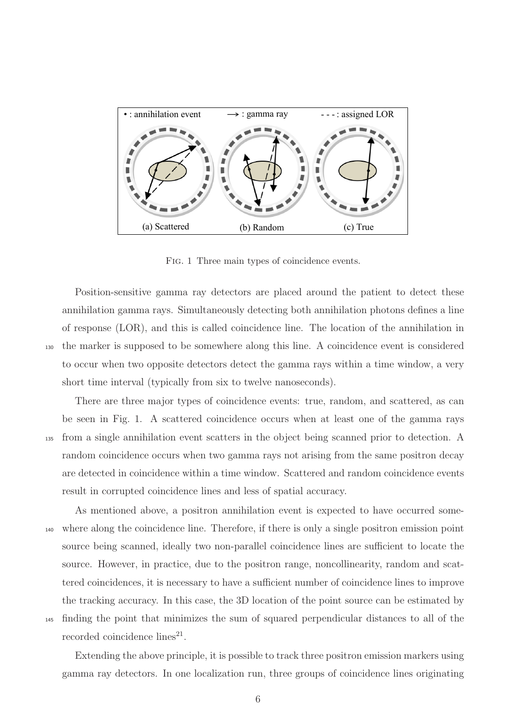

<span id="page-7-0"></span>Fig. 1 Three main types of coincidence events.

Position-sensitive gamma ray detectors are placed around the patient to detect these annihilation gamma rays. Simultaneously detecting both annihilation photons defines a line of response (LOR), and this is called coincidence line. The location of the annihilation in <sup>130</sup> the marker is supposed to be somewhere along this line. A coincidence event is considered to occur when two opposite detectors detect the gamma rays within a time window, a very short time interval (typically from six to twelve nanoseconds).

There are three major types of coincidence events: true, random, and scattered, as can be seen in Fig. [1.](#page-7-0) A scattered coincidence occurs when at least one of the gamma rays <sup>135</sup> from a single annihilation event scatters in the object being scanned prior to detection. A random coincidence occurs when two gamma rays not arising from the same positron decay are detected in coincidence within a time window. Scattered and random coincidence events result in corrupted coincidence lines and less of spatial accuracy.

As mentioned above, a positron annihilation event is expected to have occurred some-<sup>140</sup> where along the coincidence line. Therefore, if there is only a single positron emission point source being scanned, ideally two non-parallel coincidence lines are sufficient to locate the source. However, in practice, due to the positron range, noncollinearity, random and scattered coincidences, it is necessary to have a sufficient number of coincidence lines to improve the tracking accuracy. In this case, the 3D location of the point source can be estimated by <sup>145</sup> finding the point that minimizes the sum of squared perpendicular distances to all of the recorded coincidence lines<sup>[21](#page-34-0)</sup>.

Extending the above principle, it is possible to track three positron emission markers using gamma ray detectors. In one localization run, three groups of coincidence lines originating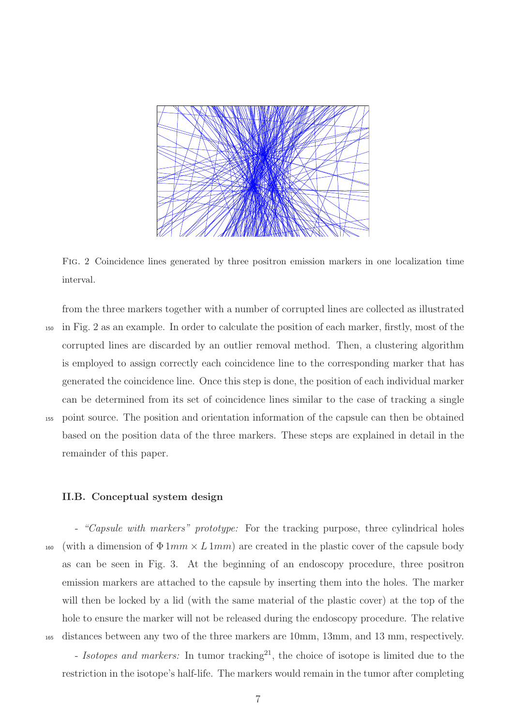

Fig. 2 Coincidence lines generated by three positron emission markers in one localization time interval.

<span id="page-8-0"></span>from the three markers together with a number of corrupted lines are collected as illustrated <sup>150</sup> in Fig. [2](#page-8-0) as an example. In order to calculate the position of each marker, firstly, most of the corrupted lines are discarded by an outlier removal method. Then, a clustering algorithm is employed to assign correctly each coincidence line to the corresponding marker that has generated the coincidence line. Once this step is done, the position of each individual marker can be determined from its set of coincidence lines similar to the case of tracking a single <sup>155</sup> point source. The position and orientation information of the capsule can then be obtained based on the position data of the three markers. These steps are explained in detail in the remainder of this paper.

#### II.B. Conceptual system design

- *"Capsule with markers" prototype:* For the tracking purpose, three cylindrical holes 160 (with a dimension of  $\Phi 1mm \times L1mm$ ) are created in the plastic cover of the capsule body as can be seen in Fig. [3.](#page-9-0) At the beginning of an endoscopy procedure, three positron emission markers are attached to the capsule by inserting them into the holes. The marker will then be locked by a lid (with the same material of the plastic cover) at the top of the hole to ensure the marker will not be released during the endoscopy procedure. The relative <sup>165</sup> distances between any two of the three markers are 10mm, 13mm, and 13 mm, respectively.

- *Isotopes and markers:* In tumor tracking<sup>[21](#page-34-0)</sup>, the choice of isotope is limited due to the restriction in the isotope's half-life. The markers would remain in the tumor after completing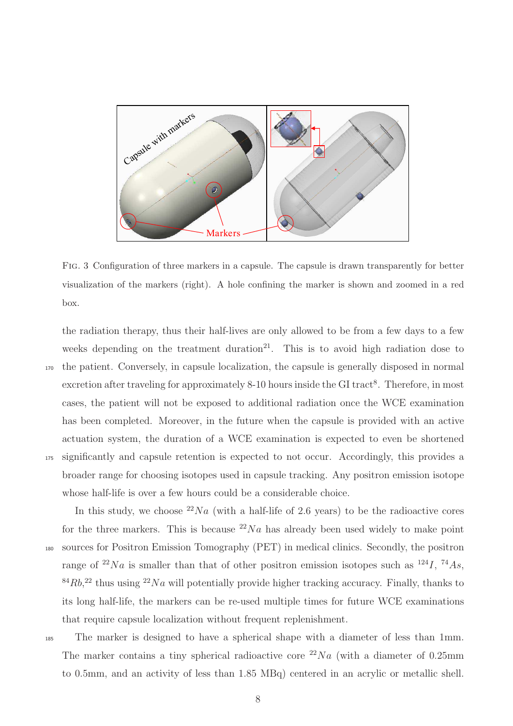

<span id="page-9-0"></span>Fig. 3 Configuration of three markers in a capsule. The capsule is drawn transparently for better visualization of the markers (right). A hole confining the marker is shown and zoomed in a red box.

the radiation therapy, thus their half-lives are only allowed to be from a few days to a few weeks depending on the treatment duration $21$ . This is to avoid high radiation dose to <sup>170</sup> the patient. Conversely, in capsule localization, the capsule is generally disposed in normal excretion after traveling for approximately [8](#page-32-12)-10 hours inside the GI tract<sup>8</sup>. Therefore, in most cases, the patient will not be exposed to additional radiation once the WCE examination has been completed. Moreover, in the future when the capsule is provided with an active actuation system, the duration of a WCE examination is expected to even be shortened <sup>175</sup> significantly and capsule retention is expected to not occur. Accordingly, this provides a broader range for choosing isotopes used in capsule tracking. Any positron emission isotope whose half-life is over a few hours could be a considerable choice.

In this study, we choose  $^{22}Na$  (with a half-life of 2.6 years) to be the radioactive cores for the three markers. This is because  $^{22}Na$  has already been used widely to make point <sup>180</sup> sources for Positron Emission Tomography (PET) in medical clinics. Secondly, the positron range of <sup>22</sup>Na is smaller than that of other positron emission isotopes such as  $^{124}I$ ,  $^{74}As$ ,  $84Rb$ <sup>[22](#page-34-1)</sup> thus using  $22Na$  will potentially provide higher tracking accuracy. Finally, thanks to its long half-life, the markers can be re-used multiple times for future WCE examinations that require capsule localization without frequent replenishment.

<sup>185</sup> The marker is designed to have a spherical shape with a diameter of less than 1mm. The marker contains a tiny spherical radioactive core  $^{22}Na$  (with a diameter of 0.25mm to 0.5mm, and an activity of less than 1.85 MBq) centered in an acrylic or metallic shell.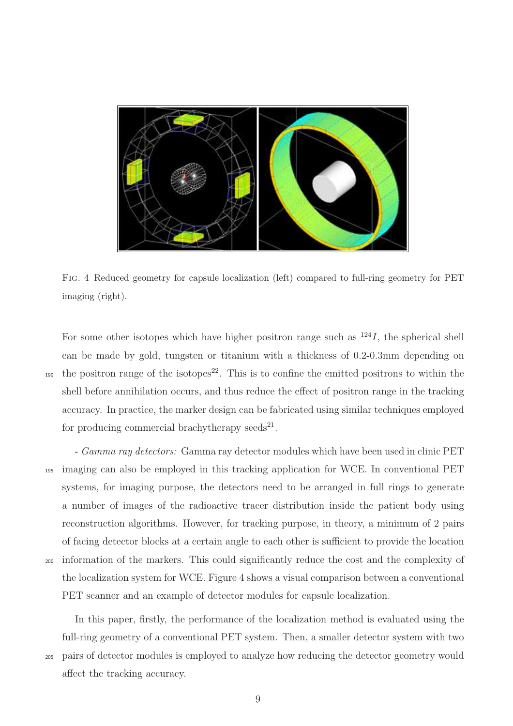

<span id="page-10-0"></span>Fig. 4 Reduced geometry for capsule localization (left) compared to full-ring geometry for PET imaging (right).

For some other isotopes which have higher positron range such as  $124I$ , the spherical shell can be made by gold, tungsten or titanium with a thickness of 0.2-0.3mm depending on the positron range of the isotopes<sup>[22](#page-34-1)</sup>. This is to confine the emitted positrons to within the shell before annihilation occurs, and thus reduce the effect of positron range in the tracking accuracy. In practice, the marker design can be fabricated using similar techniques employed for producing commercial brachytherapy seeds<sup>[21](#page-34-0)</sup>.

- *Gamma ray detectors:* Gamma ray detector modules which have been used in clinic PET <sup>195</sup> imaging can also be employed in this tracking application for WCE. In conventional PET systems, for imaging purpose, the detectors need to be arranged in full rings to generate a number of images of the radioactive tracer distribution inside the patient body using reconstruction algorithms. However, for tracking purpose, in theory, a minimum of 2 pairs of facing detector blocks at a certain angle to each other is sufficient to provide the location <sup>200</sup> information of the markers. This could significantly reduce the cost and the complexity of the localization system for WCE. Figure [4](#page-10-0) shows a visual comparison between a conventional PET scanner and an example of detector modules for capsule localization.

In this paper, firstly, the performance of the localization method is evaluated using the full-ring geometry of a conventional PET system. Then, a smaller detector system with two <sup>205</sup> pairs of detector modules is employed to analyze how reducing the detector geometry would affect the tracking accuracy.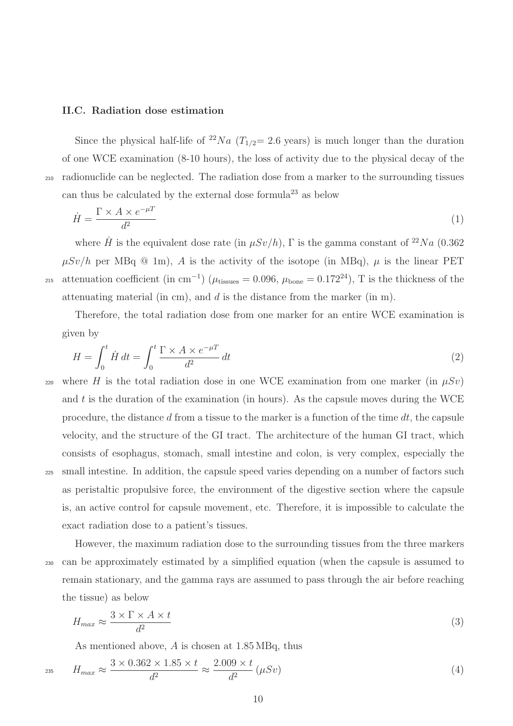#### II.C. Radiation dose estimation

Since the physical half-life of <sup>22</sup>Na ( $T_{1/2}$ = 2.6 years) is much longer than the duration of one WCE examination (8-10 hours), the loss of activity due to the physical decay of the <sup>210</sup> radionuclide can be neglected. The radiation dose from a marker to the surrounding tissues can thus be calculated by the external dose formula<sup>[23](#page-34-2)</sup> as below

$$
\dot{H} = \frac{\Gamma \times A \times e^{-\mu T}}{d^2} \tag{1}
$$

where  $\dot{H}$  is the equivalent dose rate (in  $\mu Sv/h$ ),  $\Gamma$  is the gamma constant of  $^{22}Na$  (0.362)  $\mu Sv/h$  per MBq @ 1m), A is the activity of the isotope (in MBq),  $\mu$  is the linear PET <sup>215</sup> attenuation coefficient (in cm<sup>-1</sup>) ( $\mu_{\text{tissues}} = 0.096$ ,  $\mu_{\text{bone}} = 0.172^{24}$  $\mu_{\text{bone}} = 0.172^{24}$  $\mu_{\text{bone}} = 0.172^{24}$ ), T is the thickness of the attenuating material (in cm), and  $d$  is the distance from the marker (in m).

Therefore, the total radiation dose from one marker for an entire WCE examination is given by

$$
H = \int_0^t \dot{H} dt = \int_0^t \frac{\Gamma \times A \times e^{-\mu T}}{d^2} dt
$$
 (2)

220 where H is the total radiation dose in one WCE examination from one marker (in  $\mu Sv$ ) and  $t$  is the duration of the examination (in hours). As the capsule moves during the WCE procedure, the distance d from a tissue to the marker is a function of the time  $dt$ , the capsule velocity, and the structure of the GI tract. The architecture of the human GI tract, which consists of esophagus, stomach, small intestine and colon, is very complex, especially the <sup>225</sup> small intestine. In addition, the capsule speed varies depending on a number of factors such as peristaltic propulsive force, the environment of the digestive section where the capsule is, an active control for capsule movement, etc. Therefore, it is impossible to calculate the exact radiation dose to a patient's tissues.

However, the maximum radiation dose to the surrounding tissues from the three markers <sup>230</sup> can be approximately estimated by a simplified equation (when the capsule is assumed to remain stationary, and the gamma rays are assumed to pass through the air before reaching the tissue) as below

$$
H_{max} \approx \frac{3 \times \Gamma \times A \times t}{d^2} \tag{3}
$$

As mentioned above, A is chosen at 1.85 MBq, thus

$$
H_{max} \approx \frac{3 \times 0.362 \times 1.85 \times t}{d^2} \approx \frac{2.009 \times t}{d^2} \left(\mu Sv\right) \tag{4}
$$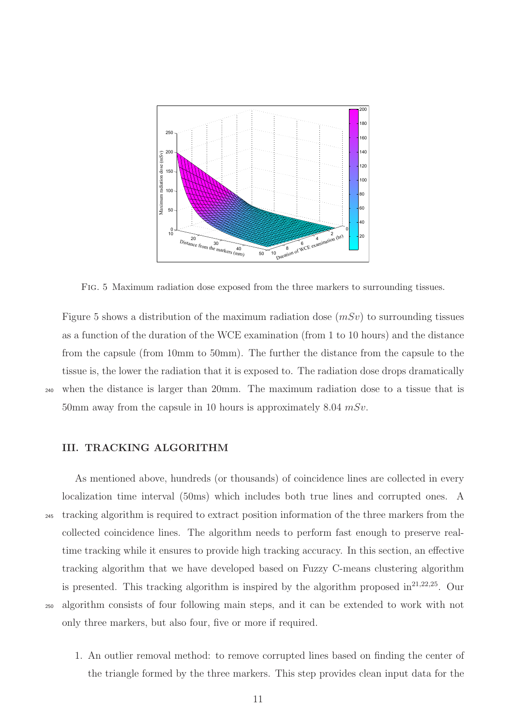

<span id="page-12-0"></span>Fig. 5 Maximum radiation dose exposed from the three markers to surrounding tissues.

Figure [5](#page-12-0) shows a distribution of the maximum radiation dose  $(mSv)$  to surrounding tissues as a function of the duration of the WCE examination (from 1 to 10 hours) and the distance from the capsule (from 10mm to 50mm). The further the distance from the capsule to the tissue is, the lower the radiation that it is exposed to. The radiation dose drops dramatically <sup>240</sup> when the distance is larger than 20mm. The maximum radiation dose to a tissue that is 50mm away from the capsule in 10 hours is approximately 8.04  $mSv$ .

## III. TRACKING ALGORITHM

As mentioned above, hundreds (or thousands) of coincidence lines are collected in every localization time interval (50ms) which includes both true lines and corrupted ones. A <sup>245</sup> tracking algorithm is required to extract position information of the three markers from the collected coincidence lines. The algorithm needs to perform fast enough to preserve realtime tracking while it ensures to provide high tracking accuracy. In this section, an effective tracking algorithm that we have developed based on Fuzzy C-means clustering algorithm is presented. This tracking algorithm is inspired by the algorithm proposed  $in^{21,22,25}$  $in^{21,22,25}$  $in^{21,22,25}$  $in^{21,22,25}$  $in^{21,22,25}$ . Our <sup>250</sup> algorithm consists of four following main steps, and it can be extended to work with not only three markers, but also four, five or more if required.

1. An outlier removal method: to remove corrupted lines based on finding the center of the triangle formed by the three markers. This step provides clean input data for the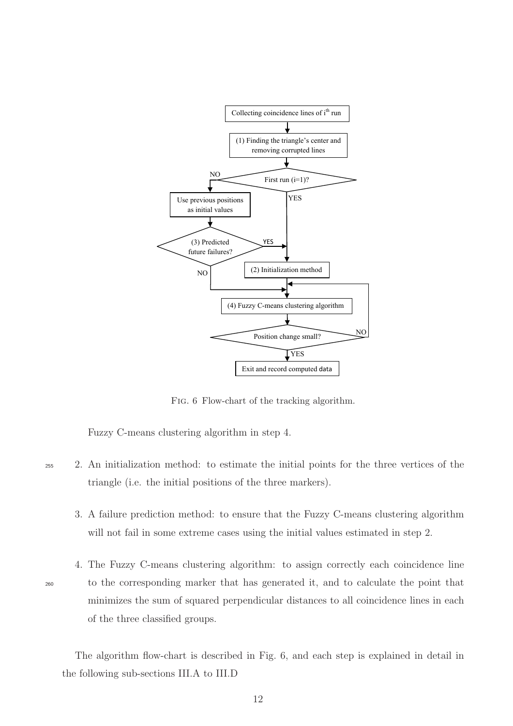

<span id="page-13-0"></span>Fig. 6 Flow-chart of the tracking algorithm.

Fuzzy C-means clustering algorithm in step 4.

- <sup>255</sup> 2. An initialization method: to estimate the initial points for the three vertices of the triangle (i.e. the initial positions of the three markers).
	- 3. A failure prediction method: to ensure that the Fuzzy C-means clustering algorithm will not fail in some extreme cases using the initial values estimated in step 2.
- 

4. The Fuzzy C-means clustering algorithm: to assign correctly each coincidence line <sup>260</sup> to the corresponding marker that has generated it, and to calculate the point that minimizes the sum of squared perpendicular distances to all coincidence lines in each of the three classified groups.

The algorithm flow-chart is described in Fig. [6,](#page-13-0) and each step is explained in detail in the following sub-sections [III.A](#page-14-0) to [III.D](#page-18-0)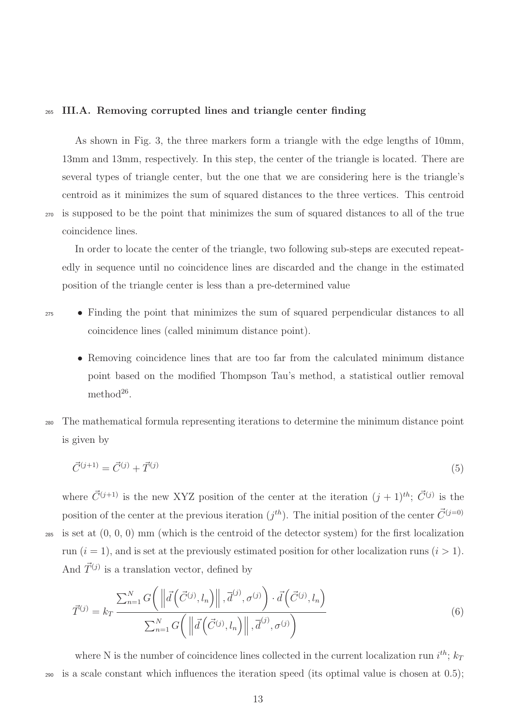#### <span id="page-14-0"></span><sup>265</sup> III.A. Removing corrupted lines and triangle center finding

As shown in Fig. [3,](#page-9-0) the three markers form a triangle with the edge lengths of 10mm, 13mm and 13mm, respectively. In this step, the center of the triangle is located. There are several types of triangle center, but the one that we are considering here is the triangle's centroid as it minimizes the sum of squared distances to the three vertices. This centroid <sup>270</sup> is supposed to be the point that minimizes the sum of squared distances to all of the true coincidence lines.

In order to locate the center of the triangle, two following sub-steps are executed repeatedly in sequence until no coincidence lines are discarded and the change in the estimated position of the triangle center is less than a pre-determined value

- <sup>275</sup> Finding the point that minimizes the sum of squared perpendicular distances to all coincidence lines (called minimum distance point).
	- Removing coincidence lines that are too far from the calculated minimum distance point based on the modified Thompson Tau's method, a statistical outlier removal method<sup>[26](#page-34-5)</sup>.
- <sup>280</sup> The mathematical formula representing iterations to determine the minimum distance point is given by

$$
\vec{C}^{(j+1)} = \vec{C}^{(j)} + \vec{T}^{(j)}
$$
\n(5)

where  $\vec{C}^{(j+1)}$  is the new XYZ position of the center at the iteration  $(j+1)^{th}$ ;  $\vec{C}^{(j)}$  is the position of the center at the previous iteration  $(j^{th})$ . The initial position of the center  $\vec{C}^{(j=0)}$ <sup>285</sup> is set at (0, 0, 0) mm (which is the centroid of the detector system) for the first localization run  $(i = 1)$ , and is set at the previously estimated position for other localization runs  $(i > 1)$ . And  $\vec{T}^{(j)}$  is a translation vector, defined by

$$
\vec{T}^{(j)} = k_T \frac{\sum_{n=1}^{N} G\left(\left\|\vec{d}\left(\vec{C}^{(j)}, l_n\right)\right\|, \vec{d}^{(j)}, \sigma^{(j)}\right) \cdot \vec{d}\left(\vec{C}^{(j)}, l_n\right)}{\sum_{n=1}^{N} G\left(\left\|\vec{d}\left(\vec{C}^{(j)}, l_n\right)\right\|, \vec{d}^{(j)}, \sigma^{(j)}\right)}
$$
\n(6)

where N is the number of coincidence lines collected in the current localization run  $i^{th}$ ;  $k_T$ is a scale constant which influences the iteration speed (its optimal value is chosen at  $(0.5)$ ;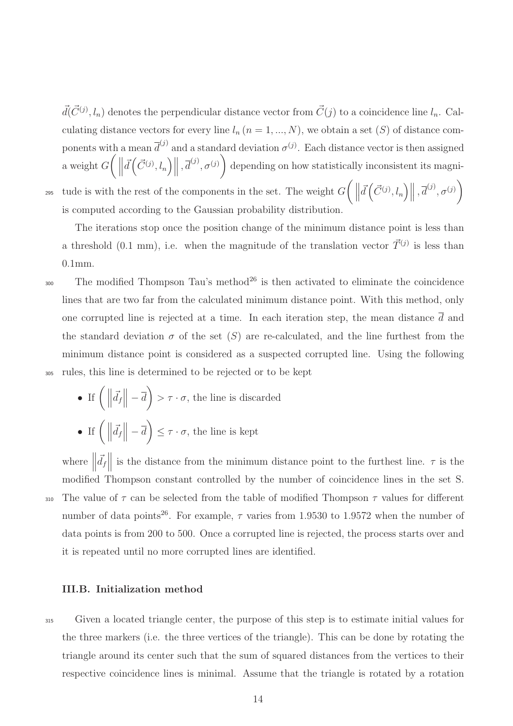$\vec{d}(\vec{C}^{(j)}, l_n)$  denotes the perpendicular distance vector from  $\vec{C}(j)$  to a coincidence line  $l_n$ . Calculating distance vectors for every line  $l_n$   $(n = 1, ..., N)$ , we obtain a set  $(S)$  of distance components with a mean  $\overline{d}^{(j)}$  and a standard deviation  $\sigma^{(j)}$ . Each distance vector is then assigned a weight  $G\left(\right)$  $\vec{d}\left(\vec{C}^{(j)}, l_n\right) \middle\|, \vec{d}^{(j)}, \sigma^{(j)}\right)$ depending on how statistically inconsistent its magnitude is with the rest of the components in the set. The weight  $G\left(\right)$  $\vec{d}\left(\vec{C}^{(j)}, l_n\right) \middle\|, \vec{d}^{(j)}, \sigma^{(j)}\right)$ is computed according to the Gaussian probability distribution.

295

The iterations stop once the position change of the minimum distance point is less than a threshold (0.1 mm), i.e. when the magnitude of the translation vector  $\vec{T}^{(j)}$  is less than 0.1mm.

 $_{300}$  The modified Thompson Tau's method<sup>[26](#page-34-5)</sup> is then activated to eliminate the coincidence lines that are two far from the calculated minimum distance point. With this method, only one corrupted line is rejected at a time. In each iteration step, the mean distance  $\overline{d}$  and the standard deviation  $\sigma$  of the set  $(S)$  are re-calculated, and the line furthest from the minimum distance point is considered as a suspected corrupted line. Using the following <sup>305</sup> rules, this line is determined to be rejected or to be kept

• If  $\left(\Vert$  $\left| \vec{d_f} \right| - \overline{d}$  >  $\tau \cdot \sigma$ , the line is discarded • If  $\left(\Vert$  $\left| \vec{d_f} \right| - \overline{d}$   $\left| \leq \tau \cdot \sigma \right|$ , the line is kept

where  $\parallel$  $\vec{d}_f$  is the distance from the minimum distance point to the furthest line.  $\tau$  is the modified Thompson constant controlled by the number of coincidence lines in the set S. 310 The value of  $\tau$  can be selected from the table of modified Thompson  $\tau$  values for different number of data points<sup>[26](#page-34-5)</sup>. For example,  $\tau$  varies from 1.9530 to 1.9572 when the number of data points is from 200 to 500. Once a corrupted line is rejected, the process starts over and it is repeated until no more corrupted lines are identified.

# <span id="page-15-0"></span>III.B. Initialization method

<sup>315</sup> Given a located triangle center, the purpose of this step is to estimate initial values for the three markers (i.e. the three vertices of the triangle). This can be done by rotating the triangle around its center such that the sum of squared distances from the vertices to their respective coincidence lines is minimal. Assume that the triangle is rotated by a rotation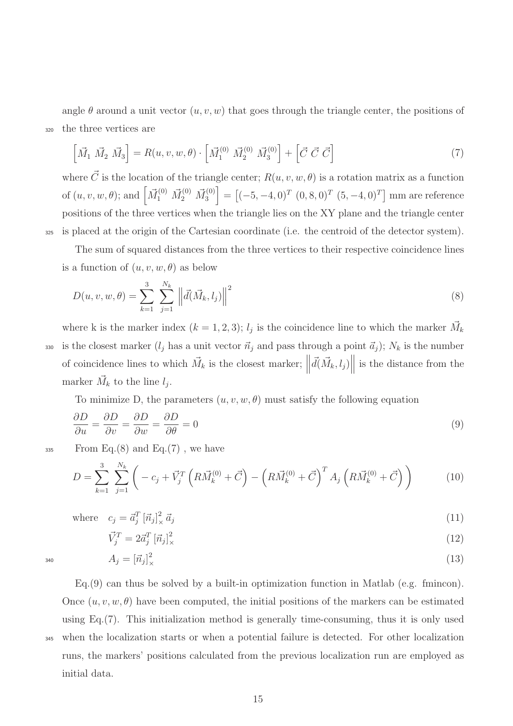angle  $\theta$  around a unit vector  $(u, v, w)$  that goes through the triangle center, the positions of <sup>320</sup> the three vertices are

<span id="page-16-1"></span>
$$
\left[\vec{M}_1 \ \vec{M}_2 \ \vec{M}_3\right] = R(u, v, w, \theta) \cdot \left[\vec{M}_1^{(0)} \ \vec{M}_2^{(0)} \ \vec{M}_3^{(0)}\right] + \left[\vec{C} \ \vec{C} \ \vec{C}\right] \tag{7}
$$

where  $\vec{C}$  is the location of the triangle center;  $R(u, v, w, \theta)$  is a rotation matrix as a function of  $(u, v, w, \theta)$ ; and  $\left[\vec{M}_1^{(0)} \ \vec{M}_2^{(0)} \ \vec{M}_3^{(0)}\right]$  $\begin{bmatrix} 1^{(0)} \\ 3 \end{bmatrix} = \left[ (-5, -4, 0)^T (0, 8, 0)^T (5, -4, 0)^T \right]$  mm are reference positions of the three vertices when the triangle lies on the XY plane and the triangle center <sup>325</sup> is placed at the origin of the Cartesian coordinate (i.e. the centroid of the detector system).

The sum of squared distances from the three vertices to their respective coincidence lines is a function of  $(u, v, w, \theta)$  as below

<span id="page-16-0"></span>
$$
D(u, v, w, \theta) = \sum_{k=1}^{3} \sum_{j=1}^{N_k} \left\| \vec{d}(\vec{M}_k, l_j) \right\|^2
$$
 (8)

where k is the marker index  $(k = 1, 2, 3)$ ;  $l_j$  is the coincidence line to which the marker  $\vec{M}_k$ is the closest marker  $(l_j \text{ has a unit vector } \vec{n}_j \text{ and pass through a point } \vec{a}_j$ ;  $N_k$  is the number of coincidence lines to which  $\vec{M}_k$  is the closest marker;  $\parallel$  $\vec{d}(\vec{M}_k, l_j)$ is the distance from the marker  $\vec{M}_k$  to the line  $l_j$ .

<span id="page-16-2"></span>To minimize D, the parameters  $(u, v, w, \theta)$  must satisfy the following equation

$$
\frac{\partial D}{\partial u} = \frac{\partial D}{\partial v} = \frac{\partial D}{\partial w} = \frac{\partial D}{\partial \theta} = 0
$$
\n(9)

 $_{335}$  From Eq.[\(8\)](#page-16-0) and Eq.[\(7\)](#page-16-1), we have

$$
D = \sum_{k=1}^{3} \sum_{j=1}^{N_k} \left( -c_j + \vec{V}_j^T \left( R \vec{M}_k^{(0)} + \vec{C} \right) - \left( R \vec{M}_k^{(0)} + \vec{C} \right)^T A_j \left( R \vec{M}_k^{(0)} + \vec{C} \right) \right)
$$
(10)

where 
$$
c_j = \vec{a}_j^T [\vec{n}_j]_\times^2 \vec{a}_j
$$
 (11)

$$
\vec{V}_j^T = 2\vec{a}_j^T \left[\vec{n}_j\right]_\times^2 \tag{12}
$$

 $A_j = [\vec{n}_j]_{\times}^2$  (13)

 $Eq.(9)$  $Eq.(9)$  can thus be solved by a built-in optimization function in Matlab (e.g. fmincon). Once  $(u, v, w, \theta)$  have been computed, the initial positions of the markers can be estimated using Eq. $(7)$ . This initialization method is generally time-consuming, thus it is only used <sup>345</sup> when the localization starts or when a potential failure is detected. For other localization runs, the markers' positions calculated from the previous localization run are employed as initial data.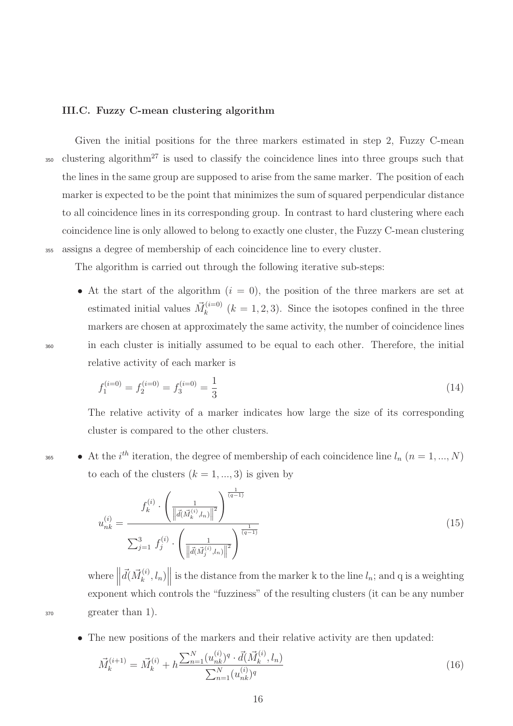#### III.C. Fuzzy C-mean clustering algorithm

Given the initial positions for the three markers estimated in step 2, Fuzzy C-mean <sup>350</sup> clustering algorithm<sup>[27](#page-34-6)</sup> is used to classify the coincidence lines into three groups such that the lines in the same group are supposed to arise from the same marker. The position of each marker is expected to be the point that minimizes the sum of squared perpendicular distance to all coincidence lines in its corresponding group. In contrast to hard clustering where each coincidence line is only allowed to belong to exactly one cluster, the Fuzzy C-mean clustering <sup>355</sup> assigns a degree of membership of each coincidence line to every cluster.

The algorithm is carried out through the following iterative sub-steps:

• At the start of the algorithm  $(i = 0)$ , the position of the three markers are set at estimated initial values  $\vec{M}_k^{(i=0)}$  $\binom{k}{k}$   $(k = 1, 2, 3)$ . Since the isotopes confined in the three markers are chosen at approximately the same activity, the number of coincidence lines <sup>360</sup> in each cluster is initially assumed to be equal to each other. Therefore, the initial relative activity of each marker is

$$
f_1^{(i=0)} = f_2^{(i=0)} = f_3^{(i=0)} = \frac{1}{3}
$$
\n(14)

The relative activity of a marker indicates how large the size of its corresponding cluster is compared to the other clusters.

365 • At the i<sup>th</sup> iteration, the degree of membership of each coincidence line  $l_n$   $(n = 1, ..., N)$ to each of the clusters  $(k = 1, ..., 3)$  is given by

<span id="page-17-1"></span>
$$
u_{nk}^{(i)} = \frac{f_k^{(i)} \cdot \left(\frac{1}{\left\|\vec{d}(\vec{M}_k^{(i)}, l_n)\right\|^2}\right)^{\frac{1}{(q-1)}}}{\sum_{j=1}^3 f_j^{(i)} \cdot \left(\frac{1}{\left\|\vec{d}(\vec{M}_j^{(i)}, l_n)\right\|^2}\right)^{\frac{1}{(q-1)}}}
$$
(15)

where  $\parallel$  $\vec{d}(\vec{M}_{k}^{(i)})$  $\left\| \binom{i}{k}, l_n \right\}$ is the distance from the marker k to the line  $l_n$ ; and q is a weighting exponent which controls the "fuzziness" of the resulting clusters (it can be any number <sup>370</sup> greater than 1).

• The new positions of the markers and their relative activity are then updated:

<span id="page-17-0"></span>
$$
\vec{M}_k^{(i+1)} = \vec{M}_k^{(i)} + h \frac{\sum_{n=1}^N (u_{nk}^{(i)})^q \cdot \vec{d}(\vec{M}_k^{(i)}, l_n)}{\sum_{n=1}^N (u_{nk}^{(i)})^q}
$$
\n(16)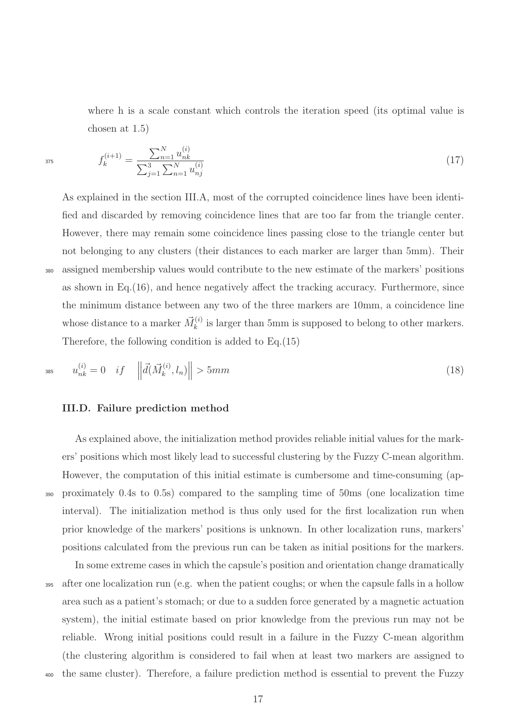where h is a scale constant which controls the iteration speed (its optimal value is chosen at 1.5)

$$
f_k^{(i+1)} = \frac{\sum_{n=1}^N u_{nk}^{(i)}}{\sum_{j=1}^3 \sum_{n=1}^N u_{nj}^{(i)}}\tag{17}
$$

As explained in the section [III.A,](#page-14-0) most of the corrupted coincidence lines have been identified and discarded by removing coincidence lines that are too far from the triangle center. However, there may remain some coincidence lines passing close to the triangle center but not belonging to any clusters (their distances to each marker are larger than 5mm). Their assigned membership values would contribute to the new estimate of the markers' positions as shown in Eq.[\(16\)](#page-17-0), and hence negatively affect the tracking accuracy. Furthermore, since the minimum distance between any two of the three markers are 10mm, a coincidence line whose distance to a marker  $\vec{M}_k^{(i)}$  $\kappa_k^{(i)}$  is larger than 5mm is supposed to belong to other markers. Therefore, the following condition is added to Eq.[\(15\)](#page-17-1)

385

$$
u_{nk}^{(i)} = 0 \quad if \quad \left\| \vec{d}(\vec{M}_k^{(i)}, l_n) \right\| > 5mm \tag{18}
$$

#### <span id="page-18-0"></span>III.D. Failure prediction method

As explained above, the initialization method provides reliable initial values for the markers' positions which most likely lead to successful clustering by the Fuzzy C-mean algorithm. However, the computation of this initial estimate is cumbersome and time-consuming (ap-<sup>390</sup> proximately 0.4s to 0.5s) compared to the sampling time of 50ms (one localization time interval). The initialization method is thus only used for the first localization run when prior knowledge of the markers' positions is unknown. In other localization runs, markers' positions calculated from the previous run can be taken as initial positions for the markers.

In some extreme cases in which the capsule's position and orientation change dramatically <sup>395</sup> after one localization run (e.g. when the patient coughs; or when the capsule falls in a hollow area such as a patient's stomach; or due to a sudden force generated by a magnetic actuation system), the initial estimate based on prior knowledge from the previous run may not be reliable. Wrong initial positions could result in a failure in the Fuzzy C-mean algorithm (the clustering algorithm is considered to fail when at least two markers are assigned to <sup>400</sup> the same cluster). Therefore, a failure prediction method is essential to prevent the Fuzzy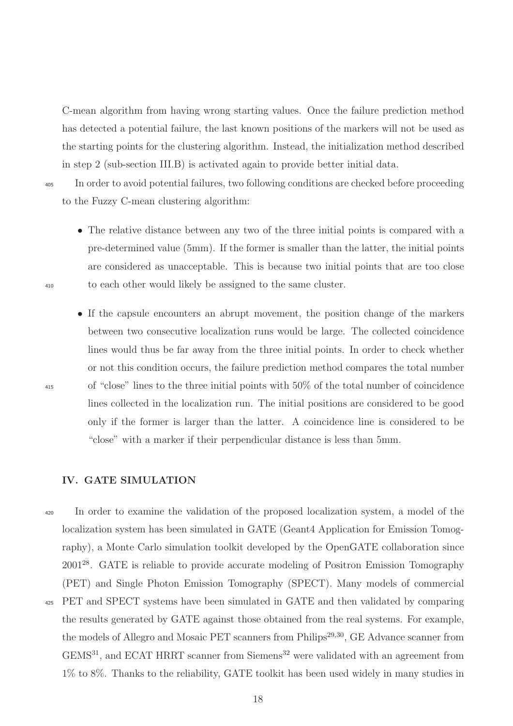C-mean algorithm from having wrong starting values. Once the failure prediction method has detected a potential failure, the last known positions of the markers will not be used as the starting points for the clustering algorithm. Instead, the initialization method described in step 2 (sub-section [III.B\)](#page-15-0) is activated again to provide better initial data.

<sup>405</sup> In order to avoid potential failures, two following conditions are checked before proceeding to the Fuzzy C-mean clustering algorithm:

- The relative distance between any two of the three initial points is compared with a pre-determined value (5mm). If the former is smaller than the latter, the initial points are considered as unacceptable. This is because two initial points that are too close <sup>410</sup> to each other would likely be assigned to the same cluster.
- If the capsule encounters an abrupt movement, the position change of the markers between two consecutive localization runs would be large. The collected coincidence lines would thus be far away from the three initial points. In order to check whether or not this condition occurs, the failure prediction method compares the total number <sup>415</sup> of "close" lines to the three initial points with 50% of the total number of coincidence lines collected in the localization run. The initial positions are considered to be good only if the former is larger than the latter. A coincidence line is considered to be "close" with a marker if their perpendicular distance is less than 5mm.

# IV. GATE SIMULATION

<sup>420</sup> In order to examine the validation of the proposed localization system, a model of the localization system has been simulated in GATE (Geant4 Application for Emission Tomography), a Monte Carlo simulation toolkit developed by the OpenGATE collaboration since 2001[28](#page-34-7). GATE is reliable to provide accurate modeling of Positron Emission Tomography (PET) and Single Photon Emission Tomography (SPECT). Many models of commercial <sup>425</sup> PET and SPECT systems have been simulated in GATE and then validated by comparing the results generated by GATE against those obtained from the real systems. For example, the models of Allegro and Mosaic PET scanners from Philips<sup>[29](#page-34-8)[,30](#page-35-0)</sup>, GE Advance scanner from GEMS<sup>[31](#page-35-1)</sup>, and ECAT HRRT scanner from Siemens<sup>[32](#page-35-2)</sup> were validated with an agreement from 1% to 8%. Thanks to the reliability, GATE toolkit has been used widely in many studies in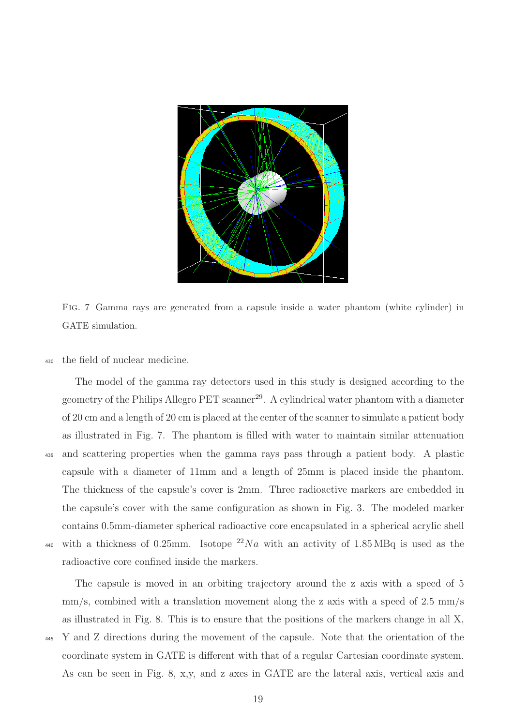

Fig. 7 Gamma rays are generated from a capsule inside a water phantom (white cylinder) in GATE simulation.

<span id="page-20-0"></span><sup>430</sup> the field of nuclear medicine.

The model of the gamma ray detectors used in this study is designed according to the geometry of the Philips Allegro PET scanner<sup>[29](#page-34-8)</sup>. A cylindrical water phantom with a diameter of 20 cm and a length of 20 cm is placed at the center of the scanner to simulate a patient body as illustrated in Fig. [7.](#page-20-0) The phantom is filled with water to maintain similar attenuation <sup>435</sup> and scattering properties when the gamma rays pass through a patient body. A plastic capsule with a diameter of 11mm and a length of 25mm is placed inside the phantom. The thickness of the capsule's cover is 2mm. Three radioactive markers are embedded in the capsule's cover with the same configuration as shown in Fig. [3.](#page-9-0) The modeled marker contains 0.5mm-diameter spherical radioactive core encapsulated in a spherical acrylic shell <sup>440</sup> with a thickness of 0.25mm. Isotope  $^{22}Na$  with an activity of 1.85 MBq is used as the radioactive core confined inside the markers.

The capsule is moved in an orbiting trajectory around the z axis with a speed of 5  $\text{mm/s}$ , combined with a translation movement along the z axis with a speed of 2.5 mm/s as illustrated in Fig. [8.](#page-21-0) This is to ensure that the positions of the markers change in all X, <sup>445</sup> Y and Z directions during the movement of the capsule. Note that the orientation of the coordinate system in GATE is different with that of a regular Cartesian coordinate system. As can be seen in Fig. [8,](#page-21-0) x,y, and z axes in GATE are the lateral axis, vertical axis and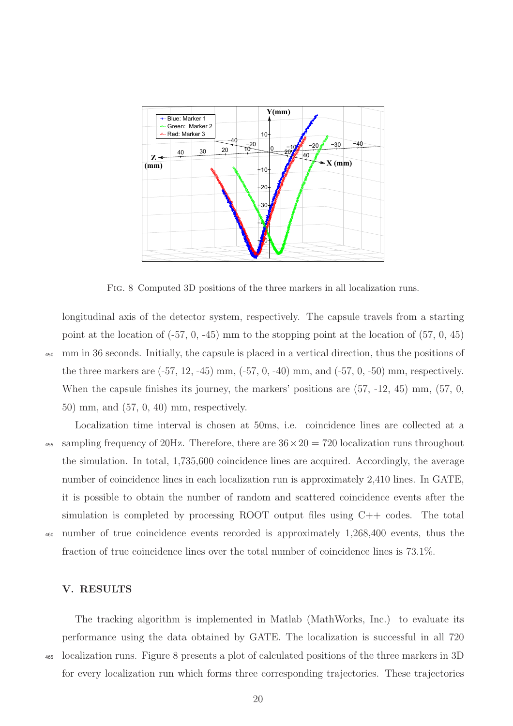

<span id="page-21-0"></span>Fig. 8 Computed 3D positions of the three markers in all localization runs.

longitudinal axis of the detector system, respectively. The capsule travels from a starting point at the location of  $(-57, 0, -45)$  mm to the stopping point at the location of  $(57, 0, 45)$ <sup>450</sup> mm in 36 seconds. Initially, the capsule is placed in a vertical direction, thus the positions of the three markers are  $(-57, 12, -45)$  mm,  $(-57, 0, -40)$  mm, and  $(-57, 0, -50)$  mm, respectively. When the capsule finishes its journey, the markers' positions are  $(57, -12, 45)$  mm,  $(57, 0, 0)$ 50) mm, and (57, 0, 40) mm, respectively.

Localization time interval is chosen at 50ms, i.e. coincidence lines are collected at a <sup>455</sup> sampling frequency of 20Hz. Therefore, there are  $36 \times 20 = 720$  localization runs throughout the simulation. In total, 1,735,600 coincidence lines are acquired. Accordingly, the average number of coincidence lines in each localization run is approximately 2,410 lines. In GATE, it is possible to obtain the number of random and scattered coincidence events after the simulation is completed by processing ROOT output files using C++ codes. The total <sup>460</sup> number of true coincidence events recorded is approximately 1,268,400 events, thus the fraction of true coincidence lines over the total number of coincidence lines is 73.1%.

# V. RESULTS

The tracking algorithm is implemented in Matlab (MathWorks, Inc.) to evaluate its performance using the data obtained by GATE. The localization is successful in all 720 <sup>465</sup> localization runs. Figure [8](#page-21-0) presents a plot of calculated positions of the three markers in 3D for every localization run which forms three corresponding trajectories. These trajectories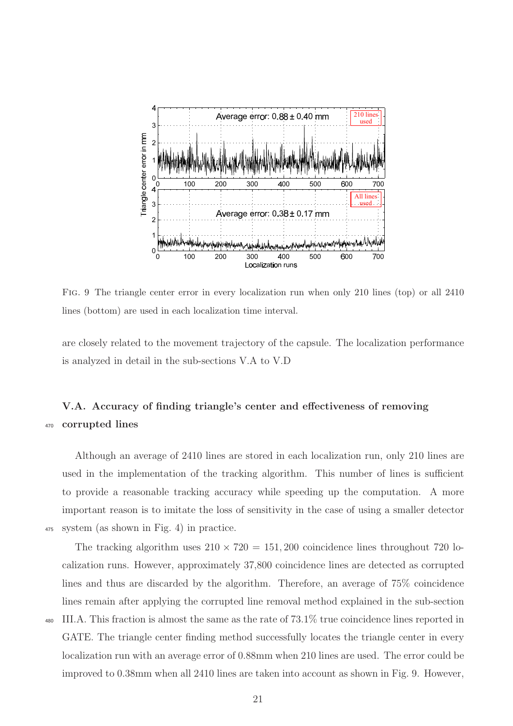

<span id="page-22-1"></span>Fig. 9 The triangle center error in every localization run when only 210 lines (top) or all 2410 lines (bottom) are used in each localization time interval.

are closely related to the movement trajectory of the capsule. The localization performance is analyzed in detail in the sub-sections [V.A](#page-22-0) to [V.D](#page-25-0)

# <span id="page-22-0"></span>V.A. Accuracy of finding triangle's center and effectiveness of removing <sup>470</sup> corrupted lines

Although an average of 2410 lines are stored in each localization run, only 210 lines are used in the implementation of the tracking algorithm. This number of lines is sufficient to provide a reasonable tracking accuracy while speeding up the computation. A more important reason is to imitate the loss of sensitivity in the case of using a smaller detector <sup>475</sup> system (as shown in Fig. [4\)](#page-10-0) in practice.

The tracking algorithm uses  $210 \times 720 = 151,200$  coincidence lines throughout 720 localization runs. However, approximately 37,800 coincidence lines are detected as corrupted lines and thus are discarded by the algorithm. Therefore, an average of 75% coincidence lines remain after applying the corrupted line removal method explained in the sub-section <sup>480</sup> [III.A.](#page-14-0) This fraction is almost the same as the rate of 73.1% true coincidence lines reported in GATE. The triangle center finding method successfully locates the triangle center in every localization run with an average error of 0.88mm when 210 lines are used. The error could be improved to 0.38mm when all 2410 lines are taken into account as shown in Fig. [9.](#page-22-1) However,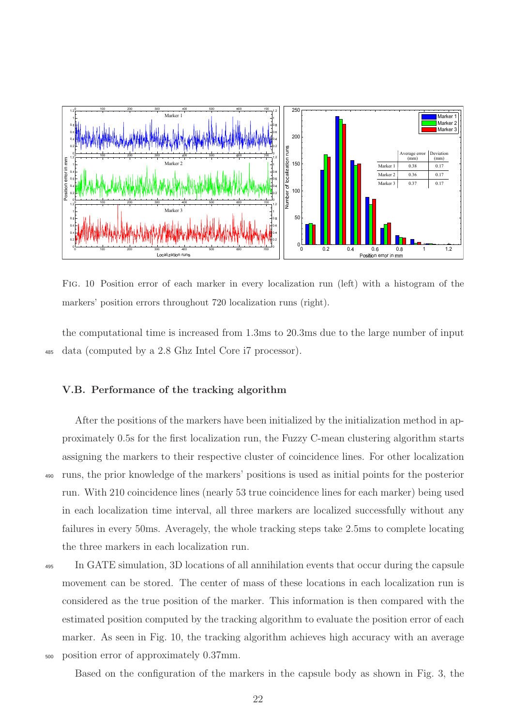

<span id="page-23-0"></span>Fig. 10 Position error of each marker in every localization run (left) with a histogram of the markers' position errors throughout 720 localization runs (right).

the computational time is increased from 1.3ms to 20.3ms due to the large number of input <sup>485</sup> data (computed by a 2.8 Ghz Intel Core i7 processor).

### V.B. Performance of the tracking algorithm

After the positions of the markers have been initialized by the initialization method in approximately 0.5s for the first localization run, the Fuzzy C-mean clustering algorithm starts assigning the markers to their respective cluster of coincidence lines. For other localization <sup>490</sup> runs, the prior knowledge of the markers' positions is used as initial points for the posterior run. With 210 coincidence lines (nearly 53 true coincidence lines for each marker) being used in each localization time interval, all three markers are localized successfully without any failures in every 50ms. Averagely, the whole tracking steps take 2.5ms to complete locating the three markers in each localization run.

<sup>495</sup> In GATE simulation, 3D locations of all annihilation events that occur during the capsule movement can be stored. The center of mass of these locations in each localization run is considered as the true position of the marker. This information is then compared with the estimated position computed by the tracking algorithm to evaluate the position error of each marker. As seen in Fig. [10,](#page-23-0) the tracking algorithm achieves high accuracy with an average <sup>500</sup> position error of approximately 0.37mm.

Based on the configuration of the markers in the capsule body as shown in Fig. [3,](#page-9-0) the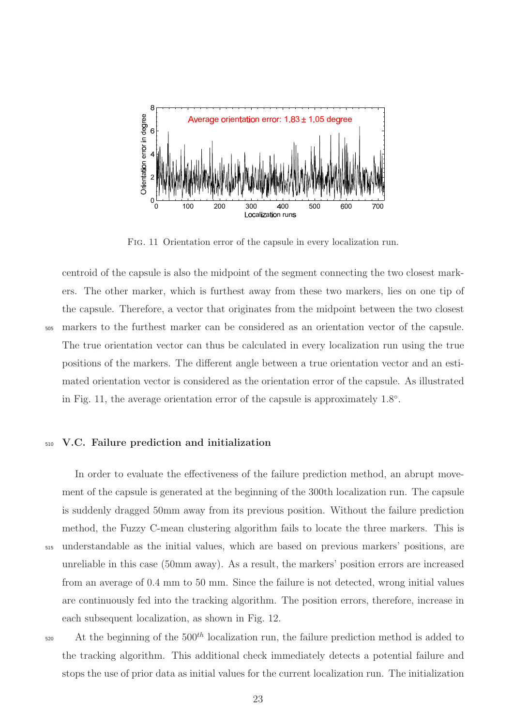

<span id="page-24-0"></span>Fig. 11 Orientation error of the capsule in every localization run.

centroid of the capsule is also the midpoint of the segment connecting the two closest markers. The other marker, which is furthest away from these two markers, lies on one tip of the capsule. Therefore, a vector that originates from the midpoint between the two closest <sup>505</sup> markers to the furthest marker can be considered as an orientation vector of the capsule. The true orientation vector can thus be calculated in every localization run using the true positions of the markers. The different angle between a true orientation vector and an estimated orientation vector is considered as the orientation error of the capsule. As illustrated in Fig. [11,](#page-24-0) the average orientation error of the capsule is approximately  $1.8^{\circ}$ .

## <sup>510</sup> V.C. Failure prediction and initialization

In order to evaluate the effectiveness of the failure prediction method, an abrupt movement of the capsule is generated at the beginning of the 300th localization run. The capsule is suddenly dragged 50mm away from its previous position. Without the failure prediction method, the Fuzzy C-mean clustering algorithm fails to locate the three markers. This is <sup>515</sup> understandable as the initial values, which are based on previous markers' positions, are unreliable in this case (50mm away). As a result, the markers' position errors are increased from an average of 0.4 mm to 50 mm. Since the failure is not detected, wrong initial values are continuously fed into the tracking algorithm. The position errors, therefore, increase in each subsequent localization, as shown in Fig. [12.](#page-25-1)

 $520$  At the beginning of the  $500<sup>th</sup>$  localization run, the failure prediction method is added to the tracking algorithm. This additional check immediately detects a potential failure and stops the use of prior data as initial values for the current localization run. The initialization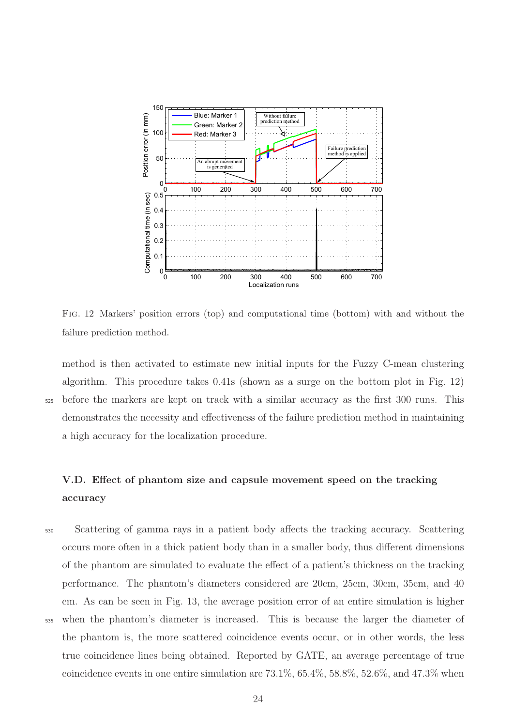

<span id="page-25-1"></span>Fig. 12 Markers' position errors (top) and computational time (bottom) with and without the failure prediction method.

method is then activated to estimate new initial inputs for the Fuzzy C-mean clustering algorithm. This procedure takes 0.41s (shown as a surge on the bottom plot in Fig. [12\)](#page-25-1) <sup>525</sup> before the markers are kept on track with a similar accuracy as the first 300 runs. This demonstrates the necessity and effectiveness of the failure prediction method in maintaining a high accuracy for the localization procedure.

<span id="page-25-0"></span>V.D. Effect of phantom size and capsule movement speed on the tracking accuracy

<sup>530</sup> Scattering of gamma rays in a patient body affects the tracking accuracy. Scattering occurs more often in a thick patient body than in a smaller body, thus different dimensions of the phantom are simulated to evaluate the effect of a patient's thickness on the tracking performance. The phantom's diameters considered are 20cm, 25cm, 30cm, 35cm, and 40 cm. As can be seen in Fig. [13,](#page-26-0) the average position error of an entire simulation is higher <sup>535</sup> when the phantom's diameter is increased. This is because the larger the diameter of the phantom is, the more scattered coincidence events occur, or in other words, the less true coincidence lines being obtained. Reported by GATE, an average percentage of true coincidence events in one entire simulation are 73.1%, 65.4%, 58.8%, 52.6%, and 47.3% when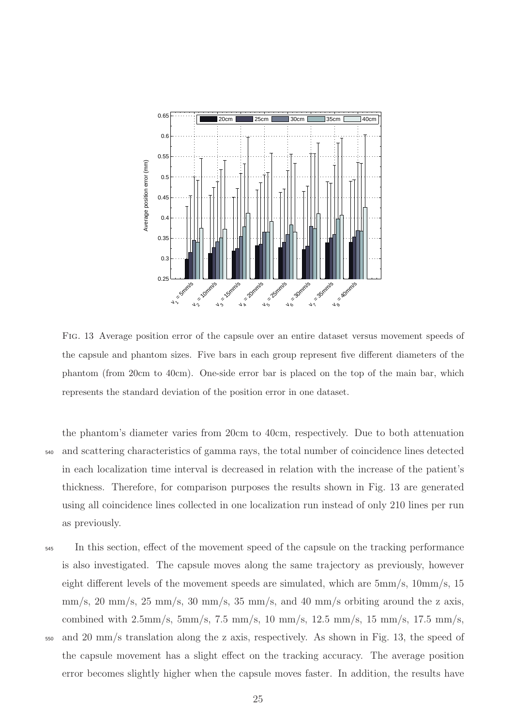

<span id="page-26-0"></span>Fig. 13 Average position error of the capsule over an entire dataset versus movement speeds of the capsule and phantom sizes. Five bars in each group represent five different diameters of the phantom (from 20cm to 40cm). One-side error bar is placed on the top of the main bar, which represents the standard deviation of the position error in one dataset.

the phantom's diameter varies from 20cm to 40cm, respectively. Due to both attenuation <sup>540</sup> and scattering characteristics of gamma rays, the total number of coincidence lines detected in each localization time interval is decreased in relation with the increase of the patient's thickness. Therefore, for comparison purposes the results shown in Fig. [13](#page-26-0) are generated using all coincidence lines collected in one localization run instead of only 210 lines per run as previously.

<sup>545</sup> In this section, effect of the movement speed of the capsule on the tracking performance is also investigated. The capsule moves along the same trajectory as previously, however eight different levels of the movement speeds are simulated, which are 5mm/s, 10mm/s, 15  $\text{mm/s}, 20 \text{ mm/s}, 25 \text{ mm/s}, 30 \text{ mm/s}, 35 \text{ mm/s}, \text{and } 40 \text{ mm/s}$  orbiting around the z axis, combined with  $2.5 \text{mm/s}$ ,  $5 \text{mm/s}$ ,  $7.5 \text{mm/s}$ ,  $10 \text{mm/s}$ ,  $12.5 \text{mm/s}$ ,  $15 \text{mm/s}$ ,  $17.5 \text{mm/s}$ , <sup>550</sup> and 20 mm/s translation along the z axis, respectively. As shown in Fig. [13,](#page-26-0) the speed of the capsule movement has a slight effect on the tracking accuracy. The average position error becomes slightly higher when the capsule moves faster. In addition, the results have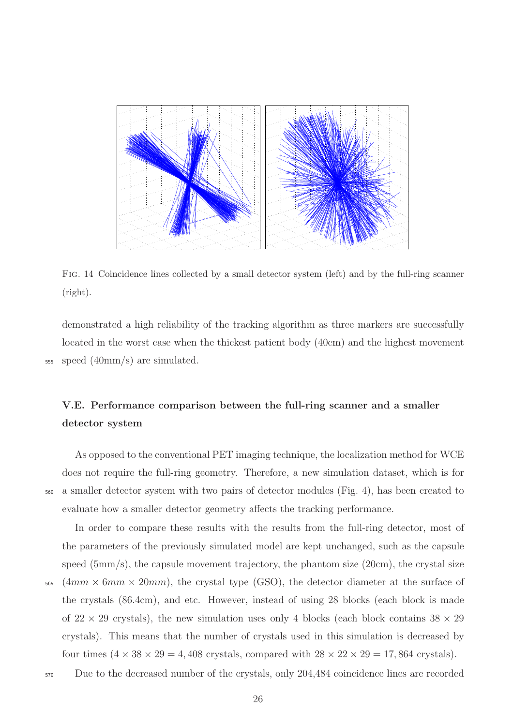

Fig. 14 Coincidence lines collected by a small detector system (left) and by the full-ring scanner (right).

<span id="page-27-0"></span>demonstrated a high reliability of the tracking algorithm as three markers are successfully located in the worst case when the thickest patient body (40cm) and the highest movement <sup>555</sup> speed (40mm/s) are simulated.

# V.E. Performance comparison between the full-ring scanner and a smaller detector system

As opposed to the conventional PET imaging technique, the localization method for WCE does not require the full-ring geometry. Therefore, a new simulation dataset, which is for <sup>560</sup> a smaller detector system with two pairs of detector modules (Fig. [4\)](#page-10-0), has been created to evaluate how a smaller detector geometry affects the tracking performance.

In order to compare these results with the results from the full-ring detector, most of the parameters of the previously simulated model are kept unchanged, such as the capsule speed (5mm/s), the capsule movement trajectory, the phantom size (20cm), the crystal size  $565$  (4mm  $\times$  6mm  $\times$  20mm), the crystal type (GSO), the detector diameter at the surface of the crystals (86.4cm), and etc. However, instead of using 28 blocks (each block is made of  $22 \times 29$  crystals), the new simulation uses only 4 blocks (each block contains  $38 \times 29$ 

crystals). This means that the number of crystals used in this simulation is decreased by four times  $(4 \times 38 \times 29 = 4,408$  crystals, compared with  $28 \times 22 \times 29 = 17,864$  crystals).

<sup>570</sup> Due to the decreased number of the crystals, only 204,484 coincidence lines are recorded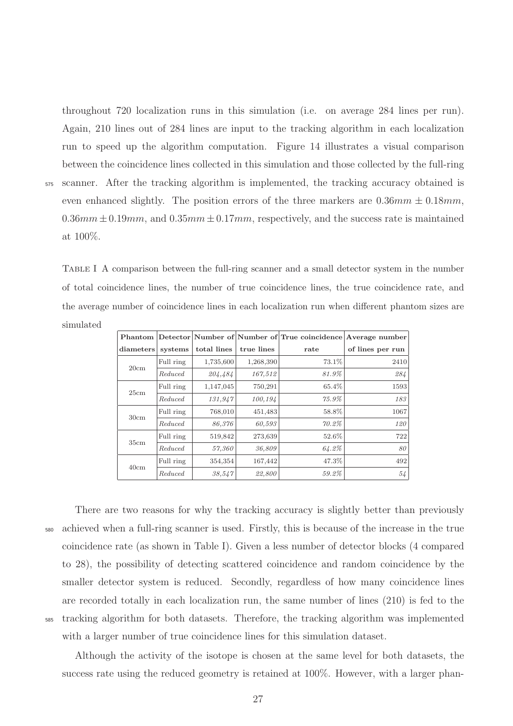throughout 720 localization runs in this simulation (i.e. on average 284 lines per run). Again, 210 lines out of 284 lines are input to the tracking algorithm in each localization run to speed up the algorithm computation. Figure [14](#page-27-0) illustrates a visual comparison between the coincidence lines collected in this simulation and those collected by the full-ring <sup>575</sup> scanner. After the tracking algorithm is implemented, the tracking accuracy obtained is even enhanced slightly. The position errors of the three markers are  $0.36mm \pm 0.18mm$ ,  $0.36mm \pm 0.19mm$ , and  $0.35mm \pm 0.17mm$ , respectively, and the success rate is maintained at 100%.

<span id="page-28-0"></span>Table I A comparison between the full-ring scanner and a small detector system in the number of total coincidence lines, the number of true coincidence lines, the true coincidence rate, and the average number of coincidence lines in each localization run when different phantom sizes are simulated

|           |           |             |            | Phantom Detector Number of Number of True coincidence Average number |                  |
|-----------|-----------|-------------|------------|----------------------------------------------------------------------|------------------|
| diameters | systems   | total lines | true lines | rate                                                                 | of lines per run |
| 20cm      | Full ring | 1,735,600   | 1,268,390  | 73.1%                                                                | 2410             |
|           | Reduced   | 204,484     | 167,512    | 81.9%                                                                | 284              |
| 25cm      | Full ring | 1,147,045   | 750,291    | 65.4%                                                                | 1593             |
|           | Reduced   | 131,947     | 100,194    | 75.9%                                                                | 183              |
| 30cm      | Full ring | 768,010     | 451,483    | 58.8%                                                                | 1067             |
|           | Reduced   | 86,376      | 60,593     | 70.2%                                                                | 120              |
| 35cm      | Full ring | 519,842     | 273,639    | 52.6%                                                                | 722              |
|           | Reduced   | 57,360      | 36,809     | 64.2%                                                                | 80               |
| 40cm      | Full ring | 354,354     | 167,442    | 47.3%                                                                | 492              |
|           | Reduced   | 38,547      | 22,800     | 59.2%                                                                | 54               |

There are two reasons for why the tracking accuracy is slightly better than previously <sup>580</sup> achieved when a full-ring scanner is used. Firstly, this is because of the increase in the true coincidence rate (as shown in Table [I\)](#page-28-0). Given a less number of detector blocks (4 compared to 28), the possibility of detecting scattered coincidence and random coincidence by the smaller detector system is reduced. Secondly, regardless of how many coincidence lines are recorded totally in each localization run, the same number of lines (210) is fed to the <sup>585</sup> tracking algorithm for both datasets. Therefore, the tracking algorithm was implemented with a larger number of true coincidence lines for this simulation dataset.

Although the activity of the isotope is chosen at the same level for both datasets, the success rate using the reduced geometry is retained at 100%. However, with a larger phan-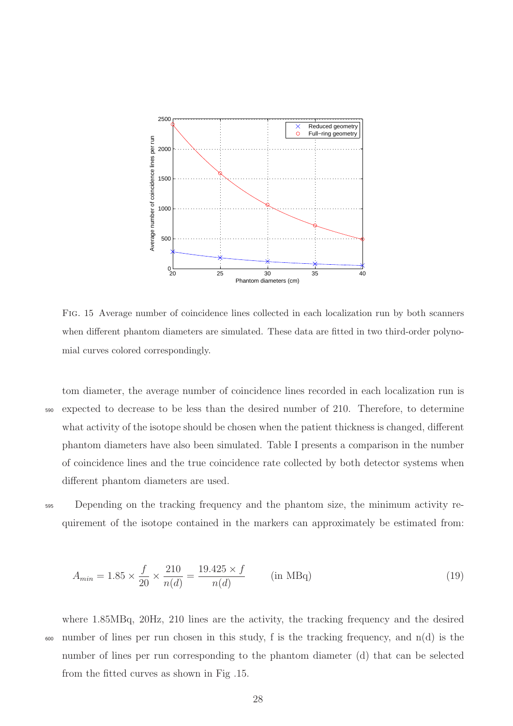

<span id="page-29-0"></span>Fig. 15 Average number of coincidence lines collected in each localization run by both scanners when different phantom diameters are simulated. These data are fitted in two third-order polynomial curves colored correspondingly.

tom diameter, the average number of coincidence lines recorded in each localization run is <sup>590</sup> expected to decrease to be less than the desired number of 210. Therefore, to determine what activity of the isotope should be chosen when the patient thickness is changed, different phantom diameters have also been simulated. Table [I](#page-28-0) presents a comparison in the number of coincidence lines and the true coincidence rate collected by both detector systems when different phantom diameters are used.

<sup>595</sup> Depending on the tracking frequency and the phantom size, the minimum activity requirement of the isotope contained in the markers can approximately be estimated from:

$$
A_{min} = 1.85 \times \frac{f}{20} \times \frac{210}{n(d)} = \frac{19.425 \times f}{n(d)} \quad \text{(in MBq)} \tag{19}
$$

where 1.85MBq, 20Hz, 210 lines are the activity, the tracking frequency and the desired  $\frac{600}{100}$  number of lines per run chosen in this study, f is the tracking frequency, and n(d) is the number of lines per run corresponding to the phantom diameter (d) that can be selected from the fitted curves as shown in Fig [.15.](#page-29-0)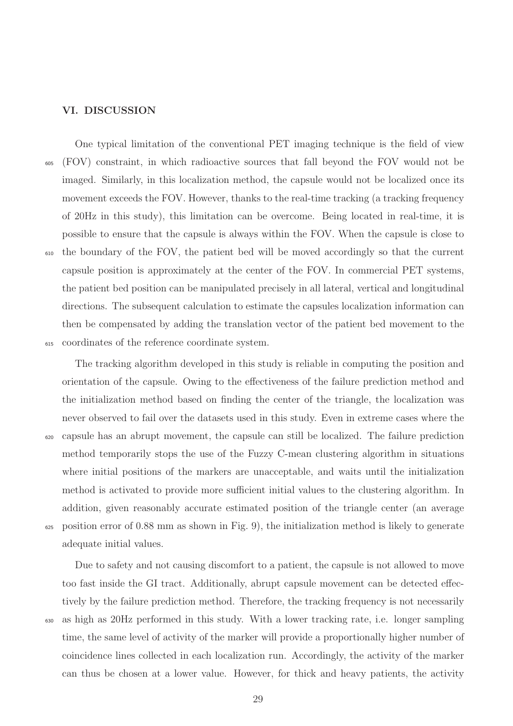### VI. DISCUSSION

One typical limitation of the conventional PET imaging technique is the field of view <sup>605</sup> (FOV) constraint, in which radioactive sources that fall beyond the FOV would not be imaged. Similarly, in this localization method, the capsule would not be localized once its movement exceeds the FOV. However, thanks to the real-time tracking (a tracking frequency of 20Hz in this study), this limitation can be overcome. Being located in real-time, it is possible to ensure that the capsule is always within the FOV. When the capsule is close to <sup>610</sup> the boundary of the FOV, the patient bed will be moved accordingly so that the current capsule position is approximately at the center of the FOV. In commercial PET systems, the patient bed position can be manipulated precisely in all lateral, vertical and longitudinal directions. The subsequent calculation to estimate the capsules localization information can then be compensated by adding the translation vector of the patient bed movement to the <sup>615</sup> coordinates of the reference coordinate system.

The tracking algorithm developed in this study is reliable in computing the position and orientation of the capsule. Owing to the effectiveness of the failure prediction method and the initialization method based on finding the center of the triangle, the localization was never observed to fail over the datasets used in this study. Even in extreme cases where the <sup>620</sup> capsule has an abrupt movement, the capsule can still be localized. The failure prediction method temporarily stops the use of the Fuzzy C-mean clustering algorithm in situations where initial positions of the markers are unacceptable, and waits until the initialization method is activated to provide more sufficient initial values to the clustering algorithm. In addition, given reasonably accurate estimated position of the triangle center (an average <sup>625</sup> position error of 0.88 mm as shown in Fig. [9\)](#page-22-1), the initialization method is likely to generate adequate initial values.

Due to safety and not causing discomfort to a patient, the capsule is not allowed to move too fast inside the GI tract. Additionally, abrupt capsule movement can be detected effectively by the failure prediction method. Therefore, the tracking frequency is not necessarily <sup>630</sup> as high as 20Hz performed in this study. With a lower tracking rate, i.e. longer sampling time, the same level of activity of the marker will provide a proportionally higher number of coincidence lines collected in each localization run. Accordingly, the activity of the marker can thus be chosen at a lower value. However, for thick and heavy patients, the activity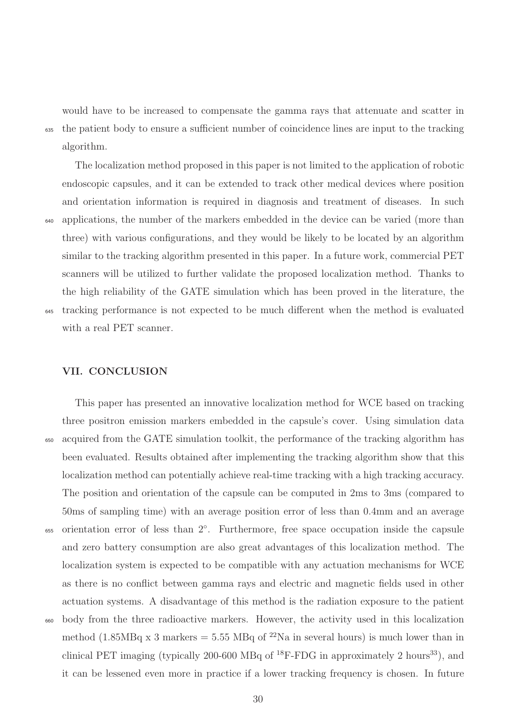would have to be increased to compensate the gamma rays that attenuate and scatter in <sup>635</sup> the patient body to ensure a sufficient number of coincidence lines are input to the tracking algorithm.

The localization method proposed in this paper is not limited to the application of robotic endoscopic capsules, and it can be extended to track other medical devices where position and orientation information is required in diagnosis and treatment of diseases. In such <sup>640</sup> applications, the number of the markers embedded in the device can be varied (more than three) with various configurations, and they would be likely to be located by an algorithm similar to the tracking algorithm presented in this paper. In a future work, commercial PET scanners will be utilized to further validate the proposed localization method. Thanks to the high reliability of the GATE simulation which has been proved in the literature, the <sup>645</sup> tracking performance is not expected to be much different when the method is evaluated with a real PET scanner.

# VII. CONCLUSION

This paper has presented an innovative localization method for WCE based on tracking three positron emission markers embedded in the capsule's cover. Using simulation data <sup>650</sup> acquired from the GATE simulation toolkit, the performance of the tracking algorithm has been evaluated. Results obtained after implementing the tracking algorithm show that this localization method can potentially achieve real-time tracking with a high tracking accuracy. The position and orientation of the capsule can be computed in 2ms to 3ms (compared to 50ms of sampling time) with an average position error of less than 0.4mm and an average <sub>655</sub> orientation error of less than 2<sup>°</sup>. Furthermore, free space occupation inside the capsule and zero battery consumption are also great advantages of this localization method. The localization system is expected to be compatible with any actuation mechanisms for WCE as there is no conflict between gamma rays and electric and magnetic fields used in other actuation systems. A disadvantage of this method is the radiation exposure to the patient <sup>660</sup> body from the three radioactive markers. However, the activity used in this localization method (1.85MBq x 3 markers = 5.55 MBq of  $^{22}$ Na in several hours) is much lower than in clinical PET imaging (typically 200-600 MBq of  $^{18}$ F-FDG in approximately 2 hours<sup>[33](#page-35-3)</sup>), and it can be lessened even more in practice if a lower tracking frequency is chosen. In future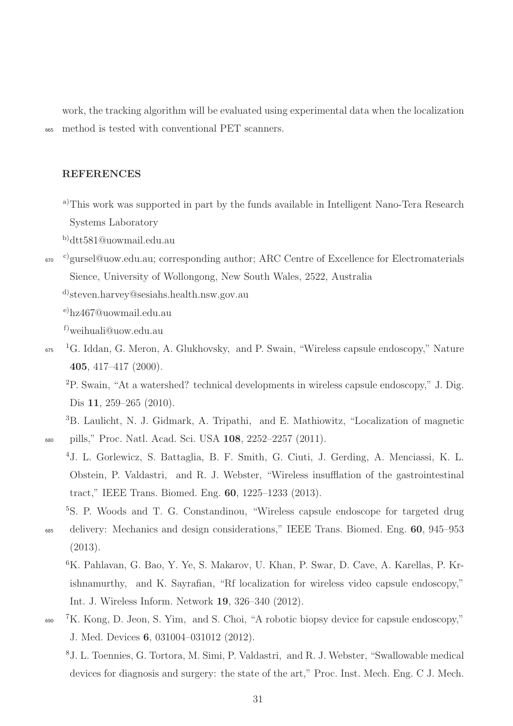work, the tracking algorithm will be evaluated using experimental data when the localization <sup>665</sup> method is tested with conventional PET scanners.

# REFERENCES

- <span id="page-32-0"></span><sup>a)</sup>This work was supported in part by the funds available in Intelligent Nano-Tera Research Systems Laboratory
- <span id="page-32-1"></span>b)[dtt581@uowmail.edu.au](mailto:dtt581@uowmail.edu.au)
- <span id="page-32-2"></span><sup>670</sup> <sup>c)</sup>[gursel@uow.edu.au;](mailto:gursel@uow.edu.au) corresponding author; ARC Centre of Excellence for Electromaterials Sience, University of Wollongong, New South Wales, 2522, Australia
	- d)[steven.harvey@sesiahs.health.nsw.gov.au](mailto:steven.harvey@sesiahs.health.nsw.gov.au)

<span id="page-32-4"></span><span id="page-32-3"></span>e)[hz467@uowmail.edu.au](mailto:hz467@uowmail.edu.au)

<span id="page-32-6"></span><span id="page-32-5"></span>f)[weihuali@uow.edu.au](mailto:weihuali@uow.edu.au)

- <span id="page-32-7"></span>675 <sup>1</sup>G. Iddan, G. Meron, A. Glukhovsky, and P. Swain, "Wireless capsule endoscopy," Nature 405, 417–417 (2000).
	- <sup>2</sup>P. Swain, "At a watershed? technical developments in wireless capsule endoscopy," J. Dig. Dis 11, 259–265 (2010).

<span id="page-32-8"></span><sup>3</sup>B. Laulicht, N. J. Gidmark, A. Tripathi, and E. Mathiowitz, "Localization of magnetic <sup>680</sup> pills," Proc. Natl. Acad. Sci. USA 108, 2252–2257 (2011).

- <span id="page-32-9"></span><sup>4</sup>J. L. Gorlewicz, S. Battaglia, B. F. Smith, G. Ciuti, J. Gerding, A. Menciassi, K. L. Obstein, P. Valdastri, and R. J. Webster, "Wireless insufflation of the gastrointestinal tract," IEEE Trans. Biomed. Eng. 60, 1225–1233 (2013).
- <span id="page-32-10"></span><sup>5</sup>S. P. Woods and T. G. Constandinou, "Wireless capsule endoscope for targeted drug <sup>685</sup> delivery: Mechanics and design considerations," IEEE Trans. Biomed. Eng. 60, 945–953 (2013).
	- <sup>6</sup>K. Pahlavan, G. Bao, Y. Ye, S. Makarov, U. Khan, P. Swar, D. Cave, A. Karellas, P. Krishnamurthy, and K. Sayrafian, "Rf localization for wireless video capsule endoscopy," Int. J. Wireless Inform. Network 19, 326–340 (2012).
- <span id="page-32-12"></span><span id="page-32-11"></span> $690$ <sup>7</sup>K. Kong, D. Jeon, S. Yim, and S. Choi, "A robotic biopsy device for capsule endoscopy," J. Med. Devices 6, 031004–031012 (2012).
	- <sup>8</sup>J. L. Toennies, G. Tortora, M. Simi, P. Valdastri, and R. J. Webster, "Swallowable medical devices for diagnosis and surgery: the state of the art," Proc. Inst. Mech. Eng. C J. Mech.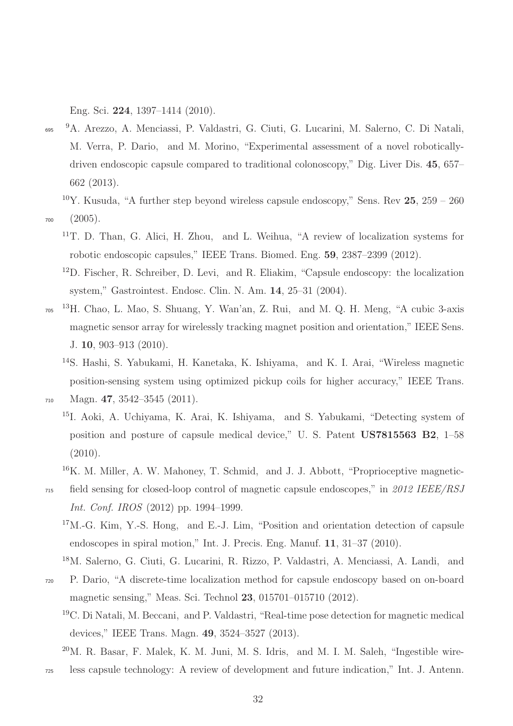<span id="page-33-0"></span>Eng. Sci. 224, 1397–1414 (2010).

- 695 <sup>9</sup>A. Arezzo, A. Menciassi, P. Valdastri, G. Ciuti, G. Lucarini, M. Salerno, C. Di Natali, M. Verra, P. Dario, and M. Morino, "Experimental assessment of a novel roboticallydriven endoscopic capsule compared to traditional colonoscopy," Dig. Liver Dis. 45, 657– 662 (2013).
- <span id="page-33-2"></span><span id="page-33-1"></span><sup>10</sup>Y. Kusuda, "A further step beyond wireless capsule endoscopy," Sens. Rev  $25, 259 - 260$ <sup>700</sup> (2005).
	- <sup>11</sup>T. D. Than, G. Alici, H. Zhou, and L. Weihua, "A review of localization systems for robotic endoscopic capsules," IEEE Trans. Biomed. Eng. 59, 2387–2399 (2012).
	- <sup>12</sup>D. Fischer, R. Schreiber, D. Levi, and R. Eliakim, "Capsule endoscopy: the localization system," Gastrointest. Endosc. Clin. N. Am. 14, 25–31 (2004).
- <span id="page-33-4"></span><span id="page-33-3"></span>705 <sup>13</sup>H. Chao, L. Mao, S. Shuang, Y. Wan'an, Z. Rui, and M. Q. H. Meng, "A cubic 3-axis magnetic sensor array for wirelessly tracking magnet position and orientation," IEEE Sens. J. 10, 903–913 (2010).
- <span id="page-33-5"></span><sup>14</sup>S. Hashi, S. Yabukami, H. Kanetaka, K. Ishiyama, and K. I. Arai, "Wireless magnetic position-sensing system using optimized pickup coils for higher accuracy," IEEE Trans. <sup>710</sup> Magn. 47, 3542–3545 (2011).

- <span id="page-33-6"></span><sup>15</sup>I. Aoki, A. Uchiyama, K. Arai, K. Ishiyama, and S. Yabukami, "Detecting system of position and posture of capsule medical device," U. S. Patent US7815563 B2, 1–58 (2010).
- <span id="page-33-7"></span><sup>16</sup>K. M. Miller, A. W. Mahoney, T. Schmid, and J. J. Abbott, "Proprioceptive magnetic-
- <span id="page-33-8"></span><sup>715</sup> field sensing for closed-loop control of magnetic capsule endoscopes," in *2012 IEEE/RSJ Int. Conf. IROS* (2012) pp. 1994–1999.
	- $17M.-G.$  Kim, Y.-S. Hong, and E.-J. Lim, "Position and orientation detection of capsule endoscopes in spiral motion," Int. J. Precis. Eng. Manuf. 11, 31–37 (2010).

<span id="page-33-9"></span><sup>18</sup>M. Salerno, G. Ciuti, G. Lucarini, R. Rizzo, P. Valdastri, A. Menciassi, A. Landi, and

- <span id="page-33-10"></span><sup>720</sup> P. Dario, "A discrete-time localization method for capsule endoscopy based on on-board magnetic sensing," Meas. Sci. Technol 23, 015701–015710 (2012).
	- <sup>19</sup>C. Di Natali, M. Beccani, and P. Valdastri, "Real-time pose detection for magnetic medical devices," IEEE Trans. Magn. 49, 3524–3527 (2013).

<sup>725</sup> less capsule technology: A review of development and future indication," Int. J. Antenn.

<span id="page-33-11"></span><sup>20</sup>M. R. Basar, F. Malek, K. M. Juni, M. S. Idris, and M. I. M. Saleh, "Ingestible wire-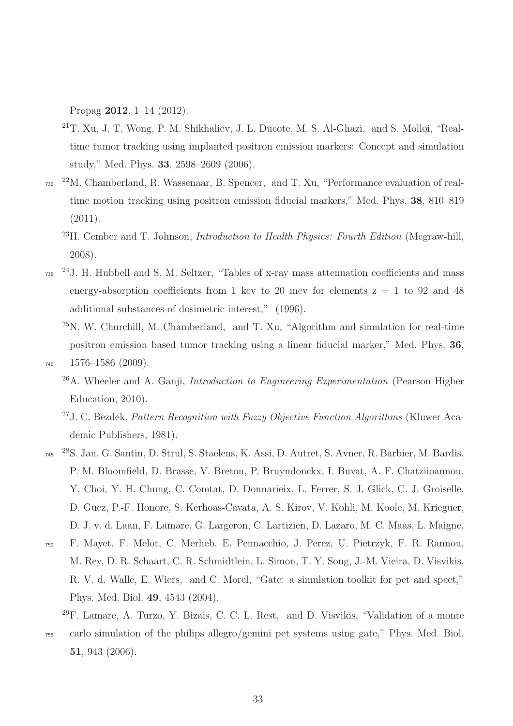Propag 2012, 1–14 (2012).

- <span id="page-34-0"></span><sup>21</sup>T. Xu, J. T. Wong, P. M. Shikhaliev, J. L. Ducote, M. S. Al-Ghazi, and S. Molloi, "Realtime tumor tracking using implanted positron emission markers: Concept and simulation study," Med. Phys. 33, 2598–2609 (2006).
- <span id="page-34-1"></span>730 <sup>22</sup>M. Chamberland, R. Wassenaar, B. Spencer, and T. Xu, "Performance evaluation of realtime motion tracking using positron emission fiducial markers," Med. Phys. 38, 810–819 (2011).
	- <sup>23</sup>H. Cember and T. Johnson, *Introduction to Health Physics: Fourth Edition* (Mcgraw-hill, 2008).
- <span id="page-34-3"></span><span id="page-34-2"></span> $2^{4}$ J. H. Hubbell and S. M. Seltzer, "Tables of x-ray mass attenuation coefficients and mass energy-absorption coefficients from 1 kev to 20 mev for elements  $z = 1$  to 92 and 48 additional substances of dosimetric interest," (1996).
- <span id="page-34-4"></span><sup>25</sup>N. W. Churchill, M. Chamberland, and T. Xu, "Algorithm and simulation for real-time positron emission based tumor tracking using a linear fiducial marker," Med. Phys. 36, <sup>740</sup> 1576–1586 (2009).
- <span id="page-34-6"></span><span id="page-34-5"></span>
	- <sup>26</sup>A. Wheeler and A. Ganji, *Introduction to Engineering Experimentation* (Pearson Higher Education, 2010).
	- <sup>27</sup>J. C. Bezdek, *Pattern Recognition with Fuzzy Objective Function Algorithms* (Kluwer Academic Publishers, 1981).
- <span id="page-34-7"></span><sup>28</sup>S. Jan, G. Santin, D. Strul, S. Staelens, K. Assi, D. Autret, S. Avner, R. Barbier, M. Bardis, P. M. Bloomfield, D. Brasse, V. Breton, P. Bruyndonckx, I. Buvat, A. F. Chatziioannou, Y. Choi, Y. H. Chung, C. Comtat, D. Donnarieix, L. Ferrer, S. J. Glick, C. J. Groiselle, D. Guez, P.-F. Honore, S. Kerhoas-Cavata, A. S. Kirov, V. Kohli, M. Koole, M. Krieguer, D. J. v. d. Laan, F. Lamare, G. Largeron, C. Lartizien, D. Lazaro, M. C. Maas, L. Maigne,
- <sup>750</sup> F. Mayet, F. Melot, C. Merheb, E. Pennacchio, J. Perez, U. Pietrzyk, F. R. Rannou, M. Rey, D. R. Schaart, C. R. Schmidtlein, L. Simon, T. Y. Song, J.-M. Vieira, D. Visvikis, R. V. d. Walle, E. Wiers, and C. Morel, "Gate: a simulation toolkit for pet and spect," Phys. Med. Biol. 49, 4543 (2004).
	- $^{29}$ F. Lamare, A. Turzo, Y. Bizais, C. C. L. Rest, and D. Visvikis, "Validation of a monte
- <span id="page-34-8"></span><sup>755</sup> carlo simulation of the philips allegro/gemini pet systems using gate," Phys. Med. Biol. 51, 943 (2006).